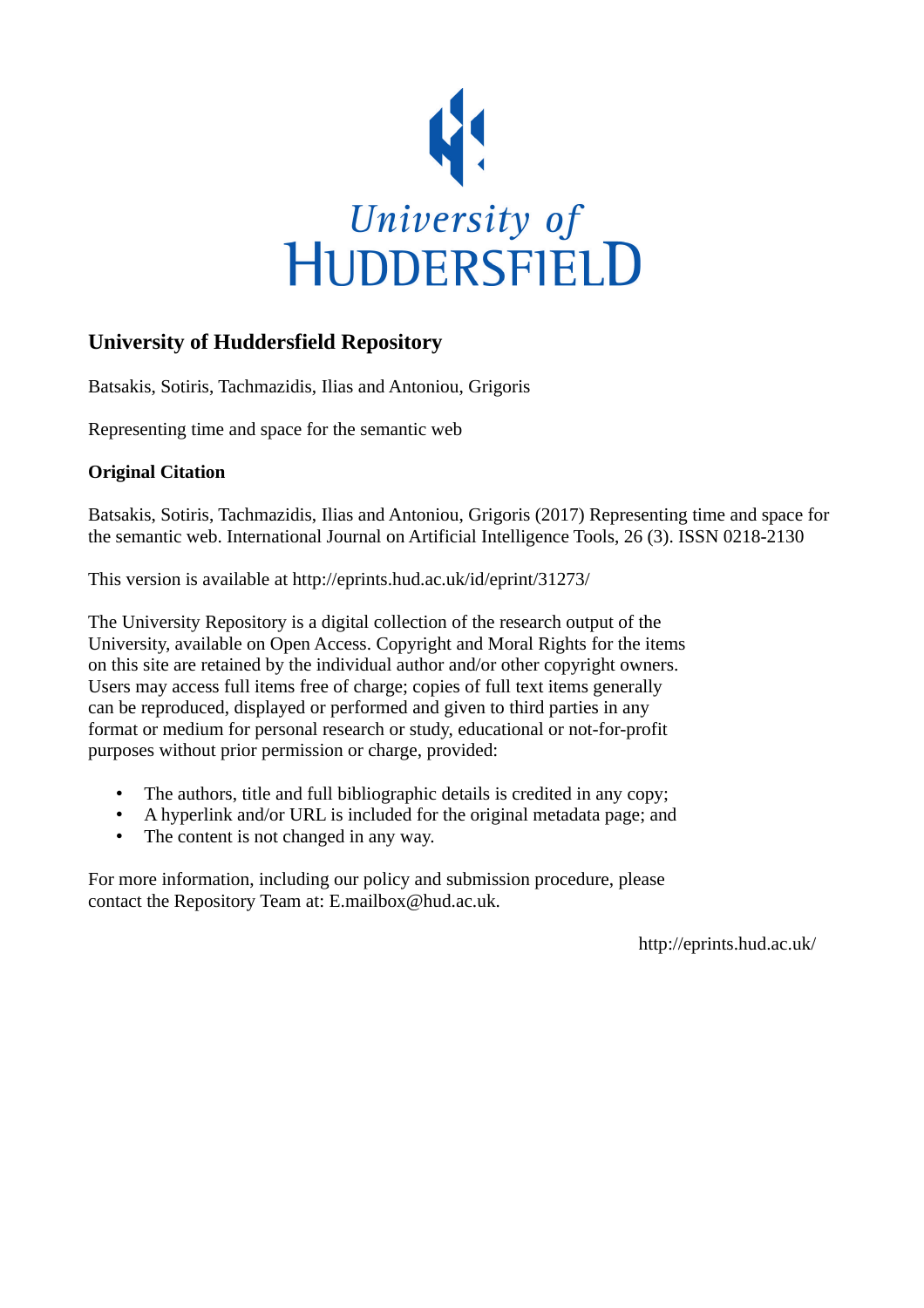

# **University of Huddersfield Repository**

Batsakis, Sotiris, Tachmazidis, Ilias and Antoniou, Grigoris

Representing time and space for the semantic web

# **Original Citation**

Batsakis, Sotiris, Tachmazidis, Ilias and Antoniou, Grigoris (2017) Representing time and space for the semantic web. International Journal on Artificial Intelligence Tools, 26 (3). ISSN 0218-2130

This version is available at http://eprints.hud.ac.uk/id/eprint/31273/

The University Repository is a digital collection of the research output of the University, available on Open Access. Copyright and Moral Rights for the items on this site are retained by the individual author and/or other copyright owners. Users may access full items free of charge; copies of full text items generally can be reproduced, displayed or performed and given to third parties in any format or medium for personal research or study, educational or not-for-profit purposes without prior permission or charge, provided:

- The authors, title and full bibliographic details is credited in any copy;
- A hyperlink and/or URL is included for the original metadata page; and
- The content is not changed in any way.

For more information, including our policy and submission procedure, please contact the Repository Team at: E.mailbox@hud.ac.uk.

http://eprints.hud.ac.uk/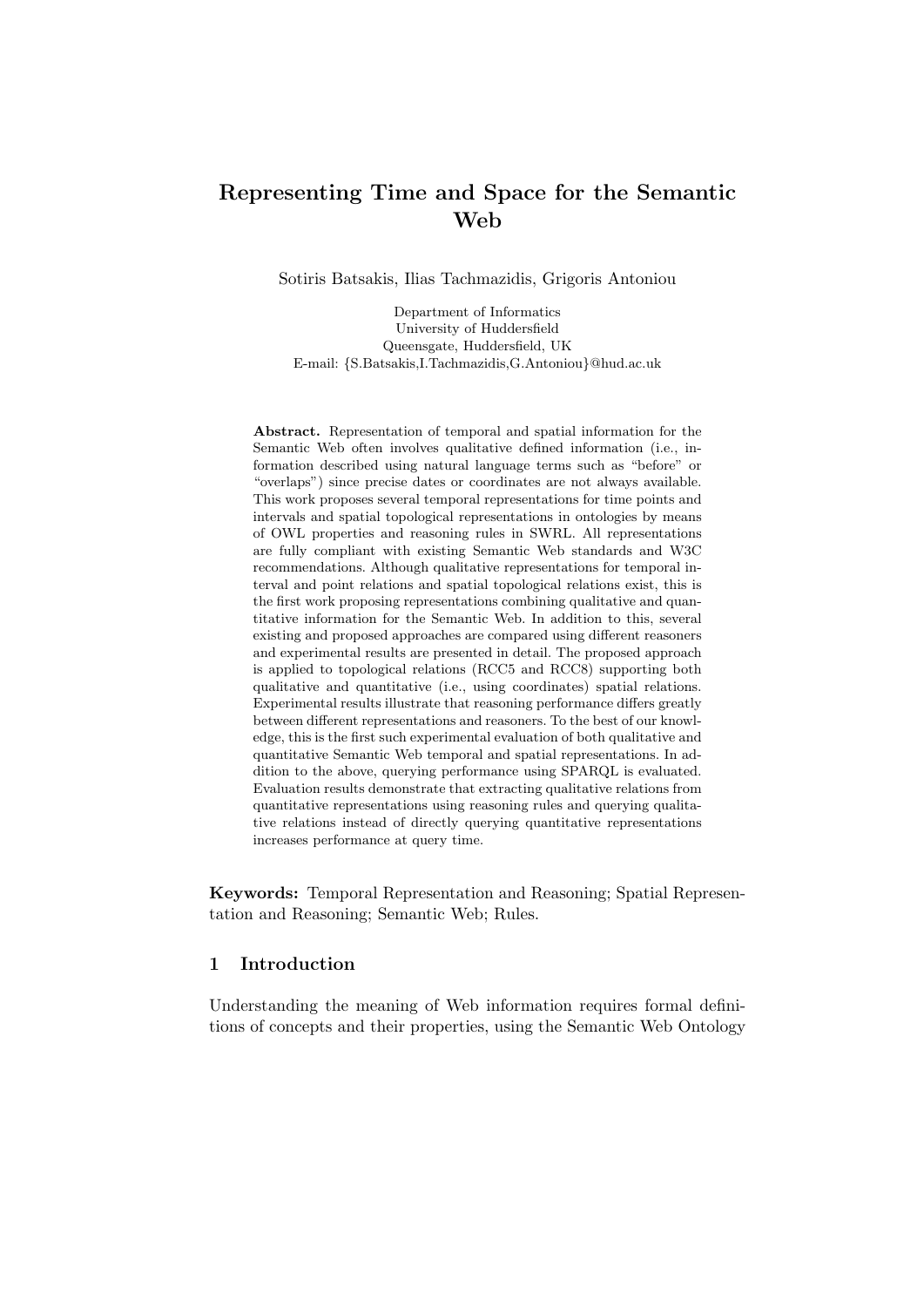# Representing Time and Space for the Semantic Web

Sotiris Batsakis, Ilias Tachmazidis, Grigoris Antoniou

Department of Informatics University of Huddersfield Queensgate, Huddersfield, UK E-mail: {S.Batsakis,I.Tachmazidis,G.Antoniou}@hud.ac.uk

Abstract. Representation of temporal and spatial information for the Semantic Web often involves qualitative defined information (i.e., information described using natural language terms such as "before" or "overlaps") since precise dates or coordinates are not always available. This work proposes several temporal representations for time points and intervals and spatial topological representations in ontologies by means of OWL properties and reasoning rules in SWRL. All representations are fully compliant with existing Semantic Web standards and W3C recommendations. Although qualitative representations for temporal interval and point relations and spatial topological relations exist, this is the first work proposing representations combining qualitative and quantitative information for the Semantic Web. In addition to this, several existing and proposed approaches are compared using different reasoners and experimental results are presented in detail. The proposed approach is applied to topological relations (RCC5 and RCC8) supporting both qualitative and quantitative (i.e., using coordinates) spatial relations. Experimental results illustrate that reasoning performance differs greatly between different representations and reasoners. To the best of our knowledge, this is the first such experimental evaluation of both qualitative and quantitative Semantic Web temporal and spatial representations. In addition to the above, querying performance using SPARQL is evaluated. Evaluation results demonstrate that extracting qualitative relations from quantitative representations using reasoning rules and querying qualitative relations instead of directly querying quantitative representations increases performance at query time.

Keywords: Temporal Representation and Reasoning; Spatial Representation and Reasoning; Semantic Web; Rules.

## 1 Introduction

Understanding the meaning of Web information requires formal definitions of concepts and their properties, using the Semantic Web Ontology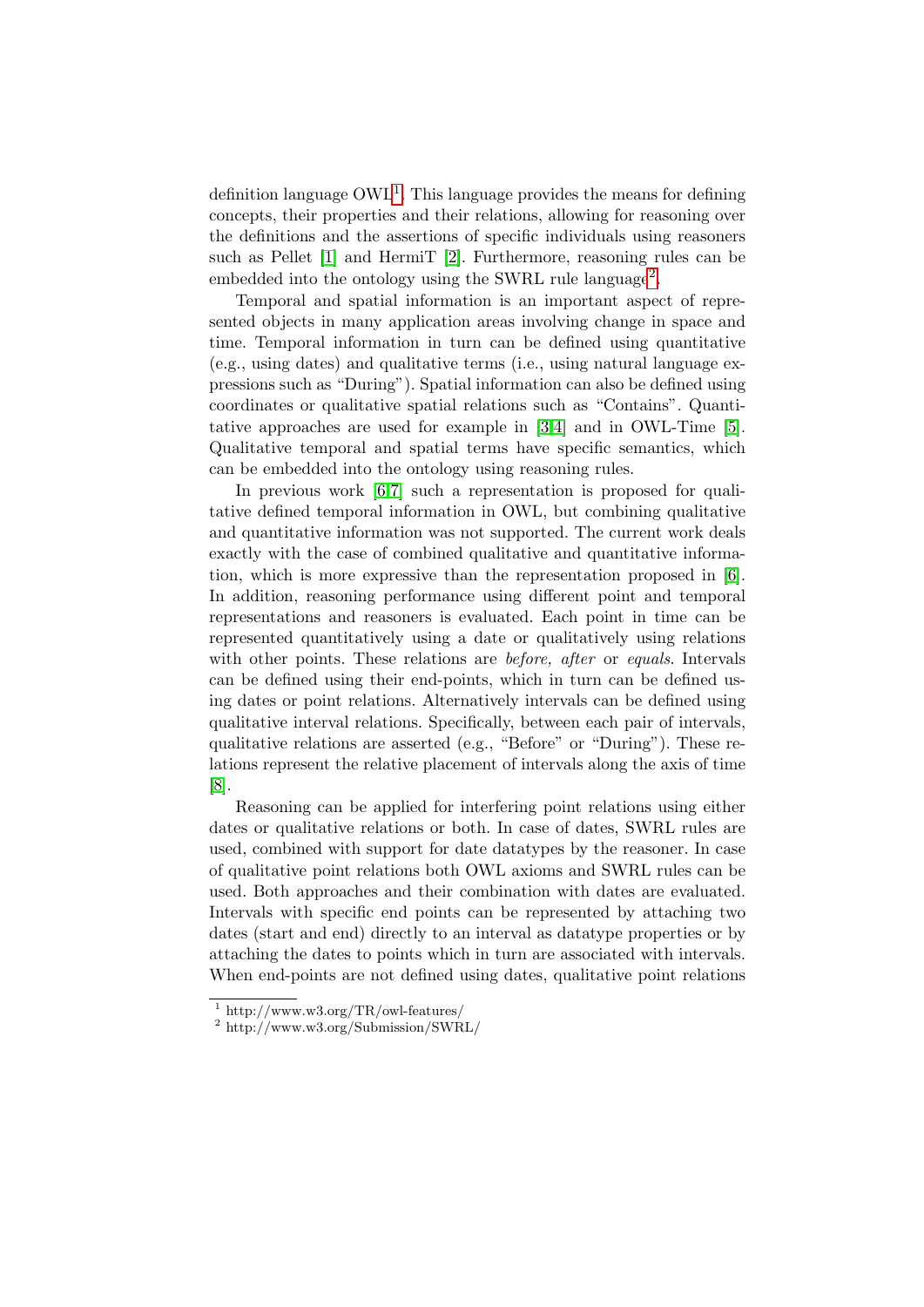definition language  $\text{OWL}^1$  $\text{OWL}^1$ . This language provides the means for defining concepts, their properties and their relations, allowing for reasoning over the definitions and the assertions of specific individuals using reasoners such as Pellet [\[1\]](#page-32-0) and HermiT [\[2\]](#page-32-1). Furthermore, reasoning rules can be embedded into the ontology using the SWRL rule language<sup>[2](#page-2-1)</sup>.

Temporal and spatial information is an important aspect of represented objects in many application areas involving change in space and time. Temporal information in turn can be defined using quantitative (e.g., using dates) and qualitative terms (i.e., using natural language expressions such as "During"). Spatial information can also be defined using coordinates or qualitative spatial relations such as "Contains". Quantitative approaches are used for example in [\[3,](#page-32-2)[4\]](#page-32-3) and in OWL-Time [\[5\]](#page-32-4). Qualitative temporal and spatial terms have specific semantics, which can be embedded into the ontology using reasoning rules.

In previous work [\[6,](#page-32-5)[7\]](#page-32-6) such a representation is proposed for qualitative defined temporal information in OWL, but combining qualitative and quantitative information was not supported. The current work deals exactly with the case of combined qualitative and quantitative information, which is more expressive than the representation proposed in [\[6\]](#page-32-5). In addition, reasoning performance using different point and temporal representations and reasoners is evaluated. Each point in time can be represented quantitatively using a date or qualitatively using relations with other points. These relations are *before*, *after* or *equals*. Intervals can be defined using their end-points, which in turn can be defined using dates or point relations. Alternatively intervals can be defined using qualitative interval relations. Specifically, between each pair of intervals, qualitative relations are asserted (e.g., "Before" or "During"). These relations represent the relative placement of intervals along the axis of time [\[8\]](#page-33-0).

Reasoning can be applied for interfering point relations using either dates or qualitative relations or both. In case of dates, SWRL rules are used, combined with support for date datatypes by the reasoner. In case of qualitative point relations both OWL axioms and SWRL rules can be used. Both approaches and their combination with dates are evaluated. Intervals with specific end points can be represented by attaching two dates (start and end) directly to an interval as datatype properties or by attaching the dates to points which in turn are associated with intervals. When end-points are not defined using dates, qualitative point relations

<span id="page-2-0"></span><sup>1</sup> http://www.w3.org/TR/owl-features/

<span id="page-2-1"></span><sup>2</sup> http://www.w3.org/Submission/SWRL/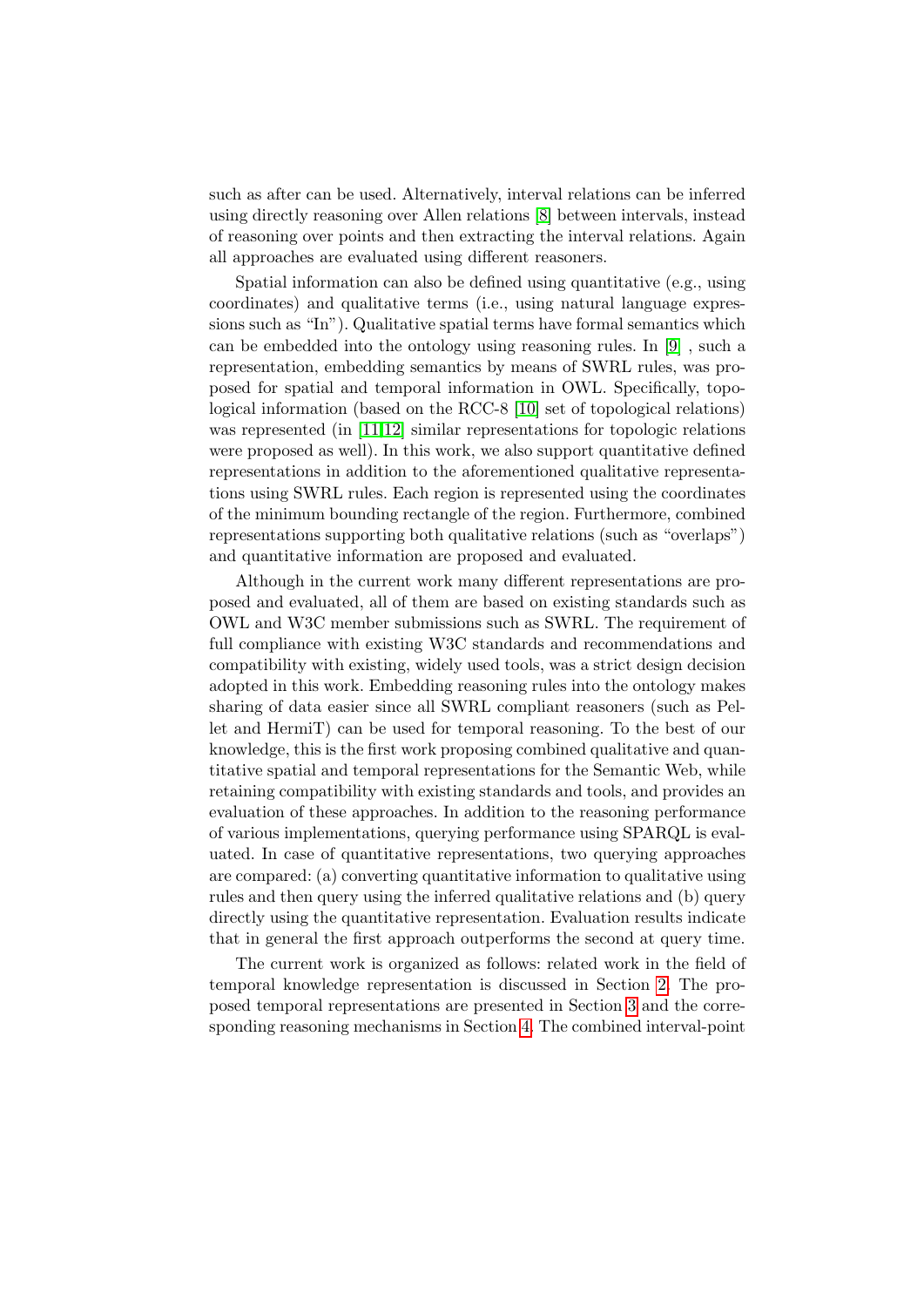such as after can be used. Alternatively, interval relations can be inferred using directly reasoning over Allen relations [\[8\]](#page-33-0) between intervals, instead of reasoning over points and then extracting the interval relations. Again all approaches are evaluated using different reasoners.

Spatial information can also be defined using quantitative (e.g., using coordinates) and qualitative terms (i.e., using natural language expressions such as "In"). Qualitative spatial terms have formal semantics which can be embedded into the ontology using reasoning rules. In [\[9\]](#page-33-1) , such a representation, embedding semantics by means of SWRL rules, was proposed for spatial and temporal information in OWL. Specifically, topological information (based on the RCC-8 [\[10\]](#page-33-2) set of topological relations) was represented (in  $[11,12]$  $[11,12]$  similar representations for topologic relations were proposed as well). In this work, we also support quantitative defined representations in addition to the aforementioned qualitative representations using SWRL rules. Each region is represented using the coordinates of the minimum bounding rectangle of the region. Furthermore, combined representations supporting both qualitative relations (such as "overlaps") and quantitative information are proposed and evaluated.

Although in the current work many different representations are proposed and evaluated, all of them are based on existing standards such as OWL and W3C member submissions such as SWRL. The requirement of full compliance with existing W3C standards and recommendations and compatibility with existing, widely used tools, was a strict design decision adopted in this work. Embedding reasoning rules into the ontology makes sharing of data easier since all SWRL compliant reasoners (such as Pellet and HermiT) can be used for temporal reasoning. To the best of our knowledge, this is the first work proposing combined qualitative and quantitative spatial and temporal representations for the Semantic Web, while retaining compatibility with existing standards and tools, and provides an evaluation of these approaches. In addition to the reasoning performance of various implementations, querying performance using SPARQL is evaluated. In case of quantitative representations, two querying approaches are compared: (a) converting quantitative information to qualitative using rules and then query using the inferred qualitative relations and (b) query directly using the quantitative representation. Evaluation results indicate that in general the first approach outperforms the second at query time.

The current work is organized as follows: related work in the field of temporal knowledge representation is discussed in Section [2.](#page-4-0) The proposed temporal representations are presented in Section [3](#page-5-0) and the corresponding reasoning mechanisms in Section [4.](#page-6-0) The combined interval-point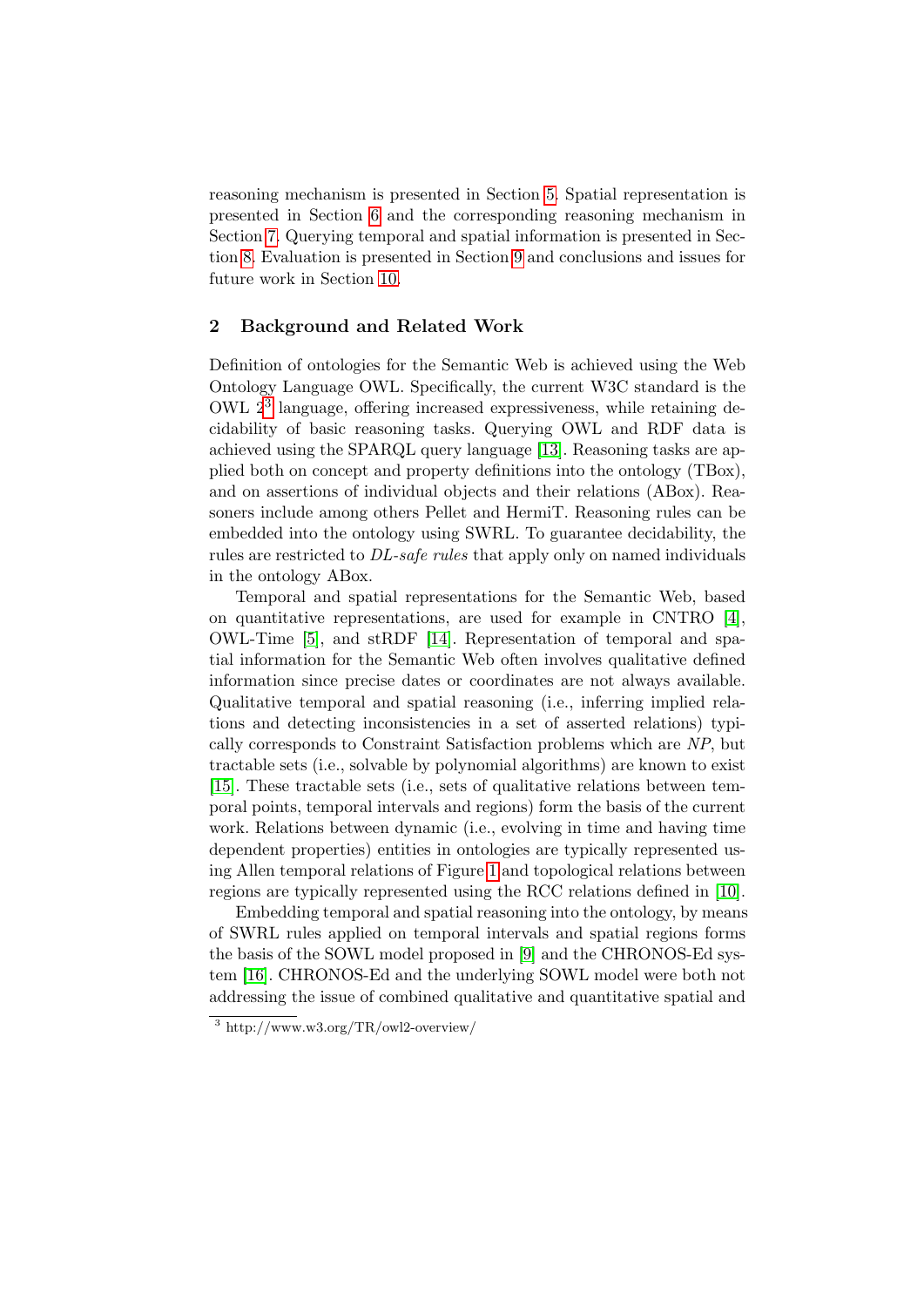reasoning mechanism is presented in Section [5.](#page-13-0) Spatial representation is presented in Section [6](#page-15-0) and the corresponding reasoning mechanism in Section [7.](#page-18-0) Querying temporal and spatial information is presented in Section [8.](#page-21-0) Evaluation is presented in Section [9](#page-23-0) and conclusions and issues for future work in Section [10.](#page-31-0)

### <span id="page-4-0"></span>2 Background and Related Work

Definition of ontologies for the Semantic Web is achieved using the Web Ontology Language OWL. Specifically, the current W3C standard is the OWL 2[3](#page-4-1) language, offering increased expressiveness, while retaining decidability of basic reasoning tasks. Querying OWL and RDF data is achieved using the SPARQL query language [\[13\]](#page-33-5). Reasoning tasks are applied both on concept and property definitions into the ontology (TBox), and on assertions of individual objects and their relations (ABox). Reasoners include among others Pellet and HermiT. Reasoning rules can be embedded into the ontology using SWRL. To guarantee decidability, the rules are restricted to *DL-safe rules* that apply only on named individuals in the ontology ABox.

Temporal and spatial representations for the Semantic Web, based on quantitative representations, are used for example in CNTRO [\[4\]](#page-32-3), OWL-Time [\[5\]](#page-32-4), and stRDF [\[14\]](#page-33-6). Representation of temporal and spatial information for the Semantic Web often involves qualitative defined information since precise dates or coordinates are not always available. Qualitative temporal and spatial reasoning (i.e., inferring implied relations and detecting inconsistencies in a set of asserted relations) typically corresponds to Constraint Satisfaction problems which are NP, but tractable sets (i.e., solvable by polynomial algorithms) are known to exist [\[15\]](#page-33-7). These tractable sets (i.e., sets of qualitative relations between temporal points, temporal intervals and regions) form the basis of the current work. Relations between dynamic (i.e., evolving in time and having time dependent properties) entities in ontologies are typically represented using Allen temporal relations of Figure [1](#page-5-1) and topological relations between regions are typically represented using the RCC relations defined in [\[10\]](#page-33-2).

Embedding temporal and spatial reasoning into the ontology, by means of SWRL rules applied on temporal intervals and spatial regions forms the basis of the SOWL model proposed in [\[9\]](#page-33-1) and the CHRONOS-Ed system [\[16\]](#page-33-8). CHRONOS-Ed and the underlying SOWL model were both not addressing the issue of combined qualitative and quantitative spatial and

<span id="page-4-1"></span><sup>3</sup> http://www.w3.org/TR/owl2-overview/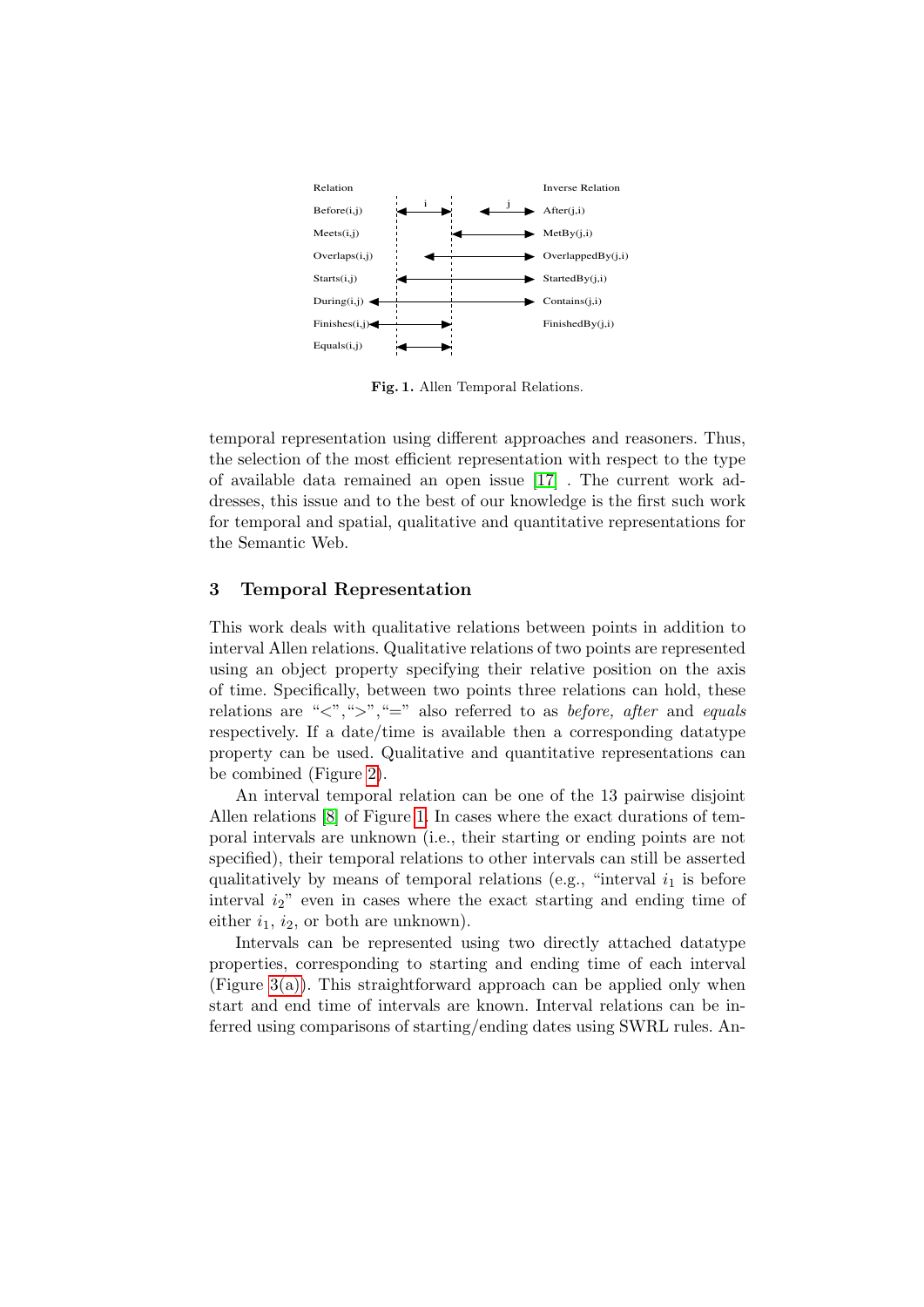

<span id="page-5-1"></span>Fig. 1. Allen Temporal Relations.

temporal representation using different approaches and reasoners. Thus, the selection of the most efficient representation with respect to the type of available data remained an open issue [\[17\]](#page-33-9) . The current work addresses, this issue and to the best of our knowledge is the first such work for temporal and spatial, qualitative and quantitative representations for the Semantic Web.

### <span id="page-5-0"></span>3 Temporal Representation

This work deals with qualitative relations between points in addition to interval Allen relations. Qualitative relations of two points are represented using an object property specifying their relative position on the axis of time. Specifically, between two points three relations can hold, these relations are " $\langle$ ", " $\rangle$ ", " $=$ " also referred to as *before*, *after* and *equals* respectively. If a date/time is available then a corresponding datatype property can be used. Qualitative and quantitative representations can be combined (Figure [2\)](#page-6-1).

An interval temporal relation can be one of the 13 pairwise disjoint Allen relations [\[8\]](#page-33-0) of Figure [1.](#page-5-1) In cases where the exact durations of temporal intervals are unknown (i.e., their starting or ending points are not specified), their temporal relations to other intervals can still be asserted qualitatively by means of temporal relations (e.g., "interval  $i_1$  is before interval  $i_2$ " even in cases where the exact starting and ending time of either  $i_1$ ,  $i_2$ , or both are unknown).

Intervals can be represented using two directly attached datatype properties, corresponding to starting and ending time of each interval (Figure  $3(a)$ ). This straightforward approach can be applied only when start and end time of intervals are known. Interval relations can be inferred using comparisons of starting/ending dates using SWRL rules. An-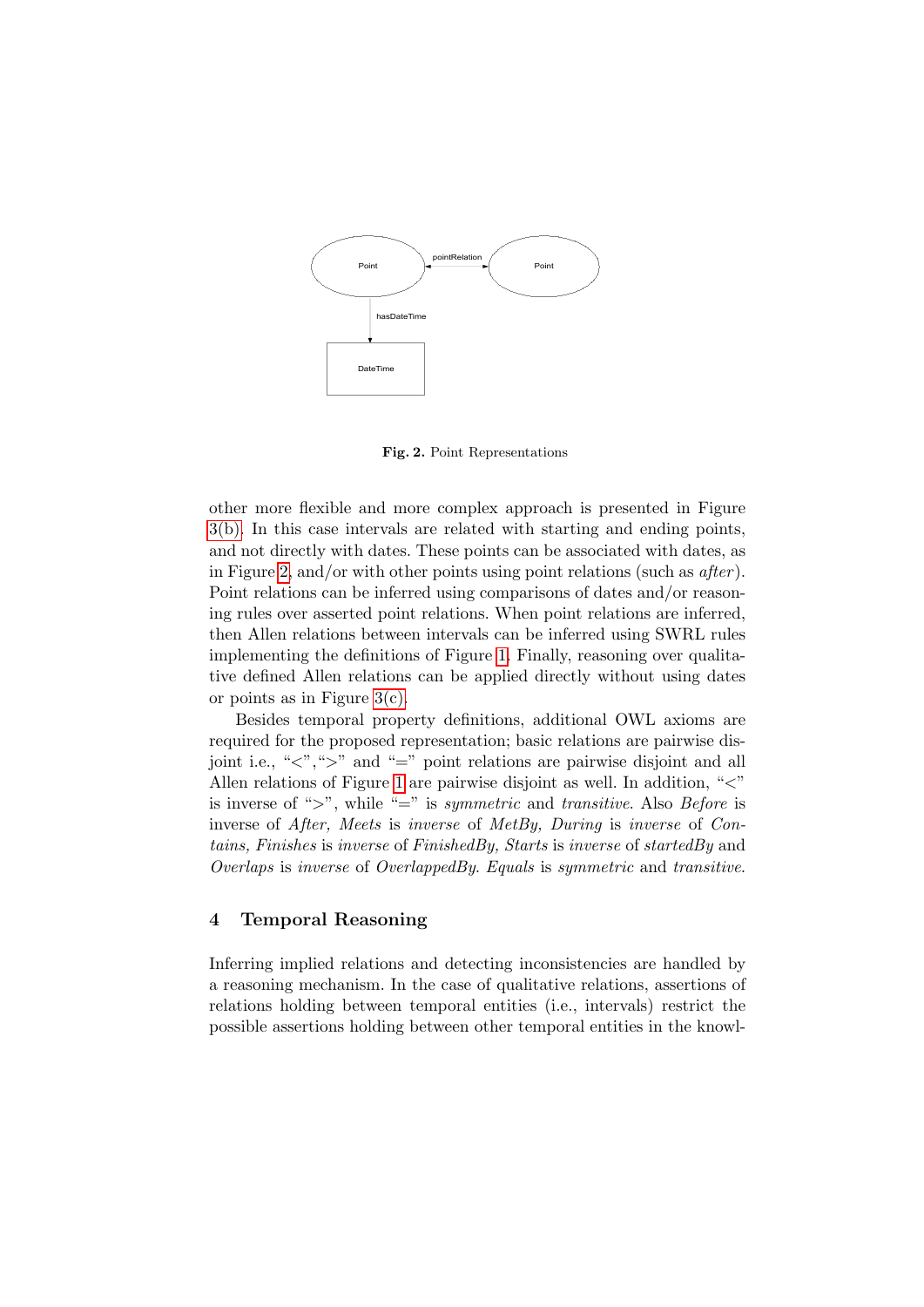

<span id="page-6-1"></span>Fig. 2. Point Representations

other more flexible and more complex approach is presented in Figure [3\(b\).](#page-7-1) In this case intervals are related with starting and ending points, and not directly with dates. These points can be associated with dates, as in Figure [2,](#page-6-1) and/or with other points using point relations (such as  $after$ ). Point relations can be inferred using comparisons of dates and/or reasoning rules over asserted point relations. When point relations are inferred, then Allen relations between intervals can be inferred using SWRL rules implementing the definitions of Figure [1.](#page-5-1) Finally, reasoning over qualitative defined Allen relations can be applied directly without using dates or points as in Figure [3\(c\).](#page-7-2)

Besides temporal property definitions, additional OWL axioms are required for the proposed representation; basic relations are pairwise disjoint i.e., " $\langle \cdot \rangle$ ", " $\rangle$ " and "=" point relations are pairwise disjoint and all Allen relations of Figure [1](#page-5-1) are pairwise disjoint as well. In addition, " $\lt$ " is inverse of " $>$ ", while "=" is *symmetric* and *transitive*. Also *Before* is inverse of After, Meets is inverse of MetBy, During is inverse of Contains, Finishes is inverse of FinishedBy, Starts is inverse of startedBy and Overlaps is inverse of OverlappedBy. Equals is symmetric and transitive.

### <span id="page-6-0"></span>4 Temporal Reasoning

Inferring implied relations and detecting inconsistencies are handled by a reasoning mechanism. In the case of qualitative relations, assertions of relations holding between temporal entities (i.e., intervals) restrict the possible assertions holding between other temporal entities in the knowl-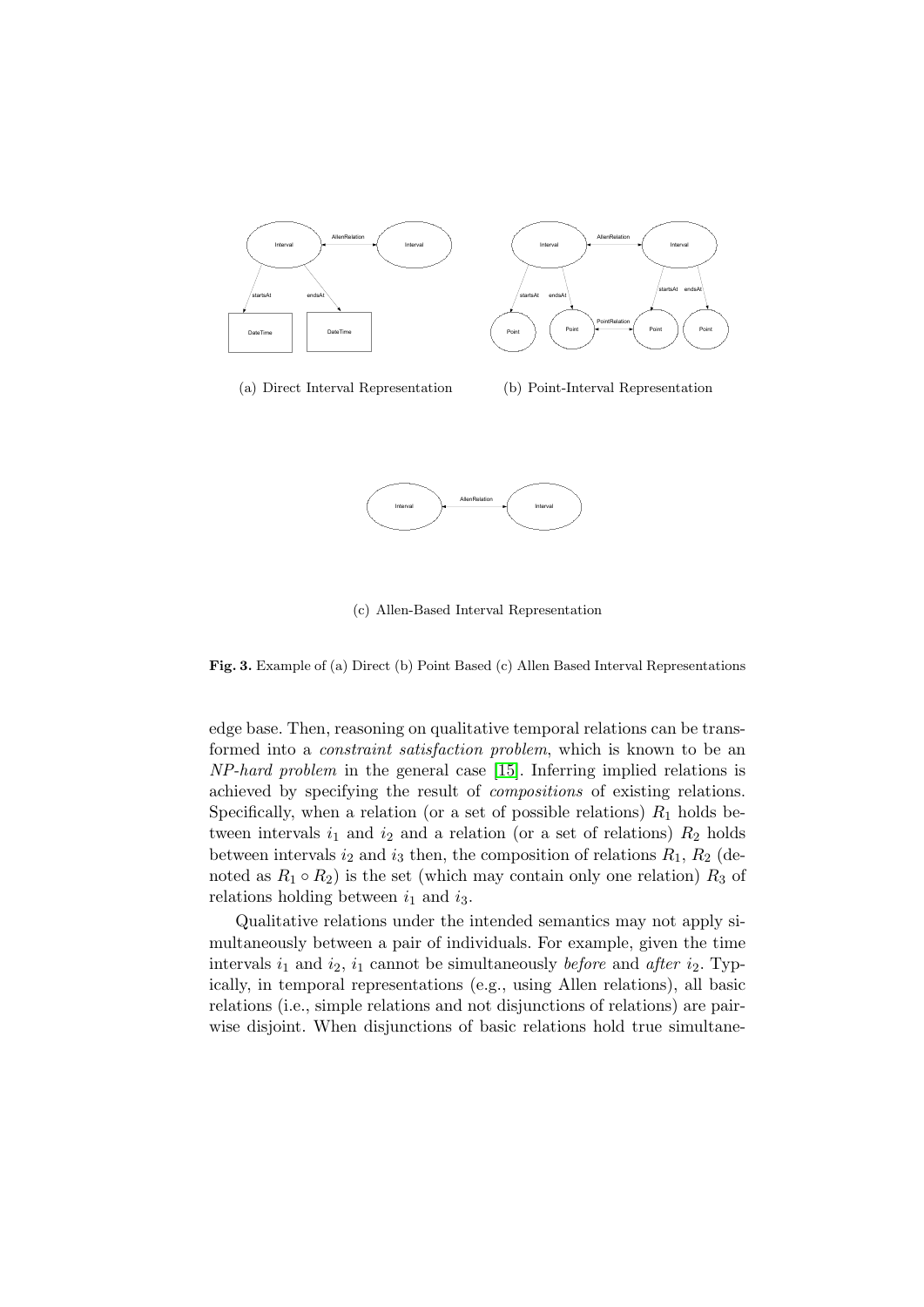<span id="page-7-0"></span>

(a) Direct Interval Representation (b) Point-Interval Representation

<span id="page-7-1"></span>

<span id="page-7-2"></span>(c) Allen-Based Interval Representation

<span id="page-7-3"></span>Fig. 3. Example of (a) Direct (b) Point Based (c) Allen Based Interval Representations

edge base. Then, reasoning on qualitative temporal relations can be transformed into a constraint satisfaction problem, which is known to be an NP-hard problem in the general case [\[15\]](#page-33-7). Inferring implied relations is achieved by specifying the result of compositions of existing relations. Specifically, when a relation (or a set of possible relations)  $R_1$  holds between intervals  $i_1$  and  $i_2$  and a relation (or a set of relations)  $R_2$  holds between intervals  $i_2$  and  $i_3$  then, the composition of relations  $R_1, R_2$  (denoted as  $R_1 \circ R_2$ ) is the set (which may contain only one relation)  $R_3$  of relations holding between  $i_1$  and  $i_3$ .

Qualitative relations under the intended semantics may not apply simultaneously between a pair of individuals. For example, given the time intervals  $i_1$  and  $i_2$ ,  $i_1$  cannot be simultaneously *before* and *after*  $i_2$ . Typically, in temporal representations (e.g., using Allen relations), all basic relations (i.e., simple relations and not disjunctions of relations) are pairwise disjoint. When disjunctions of basic relations hold true simultane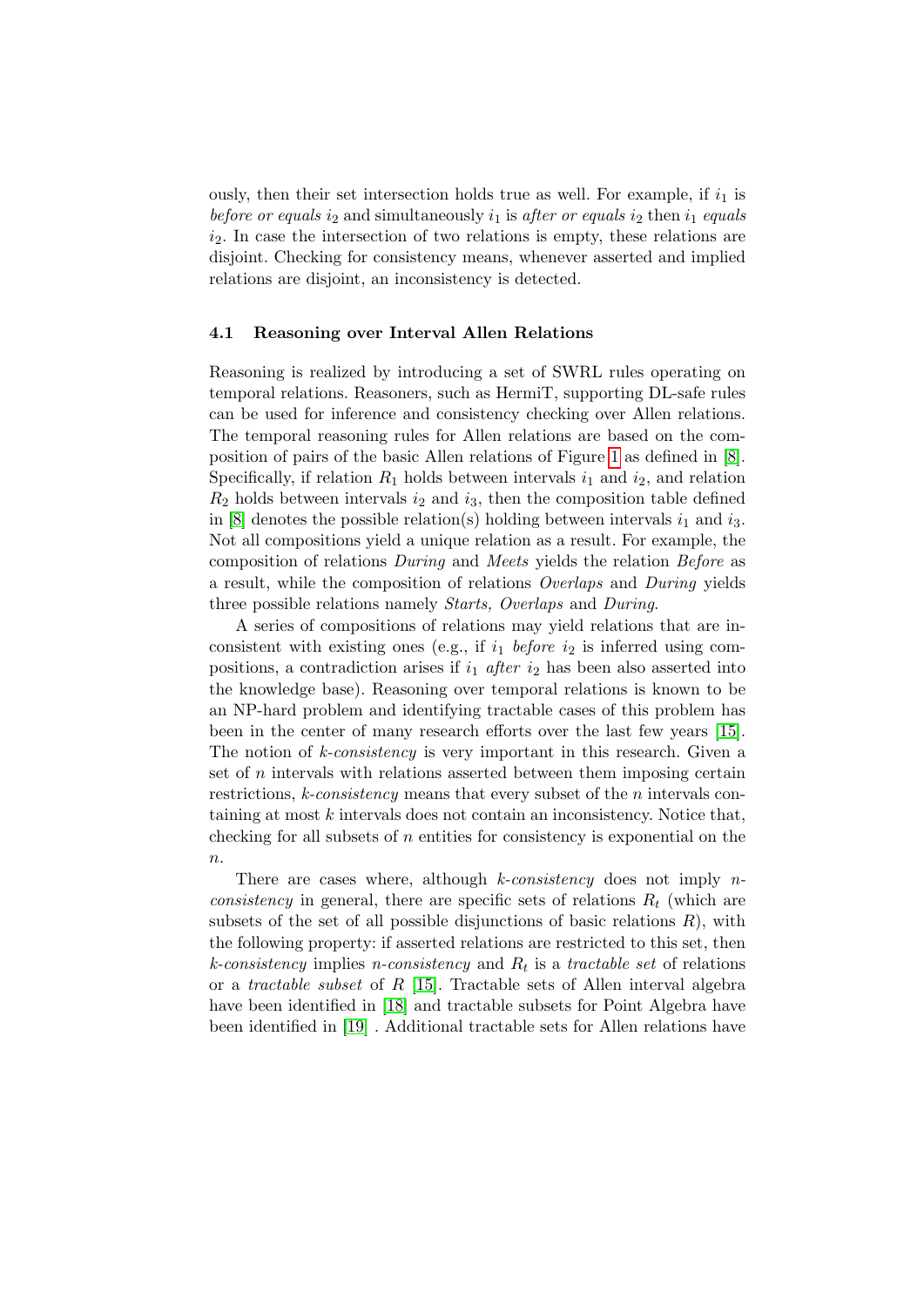ously, then their set intersection holds true as well. For example, if  $i_1$  is before or equals  $i_2$  and simultaneously  $i_1$  is after or equals  $i_2$  then  $i_1$  equals  $i_2$ . In case the intersection of two relations is empty, these relations are disjoint. Checking for consistency means, whenever asserted and implied relations are disjoint, an inconsistency is detected.

### <span id="page-8-0"></span>4.1 Reasoning over Interval Allen Relations

Reasoning is realized by introducing a set of SWRL rules operating on temporal relations. Reasoners, such as HermiT, supporting DL-safe rules can be used for inference and consistency checking over Allen relations. The temporal reasoning rules for Allen relations are based on the composition of pairs of the basic Allen relations of Figure [1](#page-5-1) as defined in [\[8\]](#page-33-0). Specifically, if relation  $R_1$  holds between intervals  $i_1$  and  $i_2$ , and relation  $R_2$  holds between intervals  $i_2$  and  $i_3$ , then the composition table defined in [\[8\]](#page-33-0) denotes the possible relation(s) holding between intervals  $i_1$  and  $i_3$ . Not all compositions yield a unique relation as a result. For example, the composition of relations During and Meets yields the relation Before as a result, while the composition of relations Overlaps and During yields three possible relations namely Starts, Overlaps and During.

A series of compositions of relations may yield relations that are inconsistent with existing ones (e.g., if  $i_1$  before  $i_2$  is inferred using compositions, a contradiction arises if  $i_1$  after  $i_2$  has been also asserted into the knowledge base). Reasoning over temporal relations is known to be an NP-hard problem and identifying tractable cases of this problem has been in the center of many research efforts over the last few years [\[15\]](#page-33-7). The notion of k-consistency is very important in this research. Given a set of  $n$  intervals with relations asserted between them imposing certain restrictions, k-consistency means that every subset of the n intervals containing at most k intervals does not contain an inconsistency. Notice that, checking for all subsets of  $n$  entities for consistency is exponential on the  $\overline{n}$ .

There are cases where, although k-consistency does not imply n*consistency* in general, there are specific sets of relations  $R_t$  (which are subsets of the set of all possible disjunctions of basic relations  $R$ ), with the following property: if asserted relations are restricted to this set, then k-consistency implies *n*-consistency and  $R_t$  is a tractable set of relations or a *tractable subset* of  $R$  [\[15\]](#page-33-7). Tractable sets of Allen interval algebra have been identified in [\[18\]](#page-33-10) and tractable subsets for Point Algebra have been identified in [\[19\]](#page-33-11) . Additional tractable sets for Allen relations have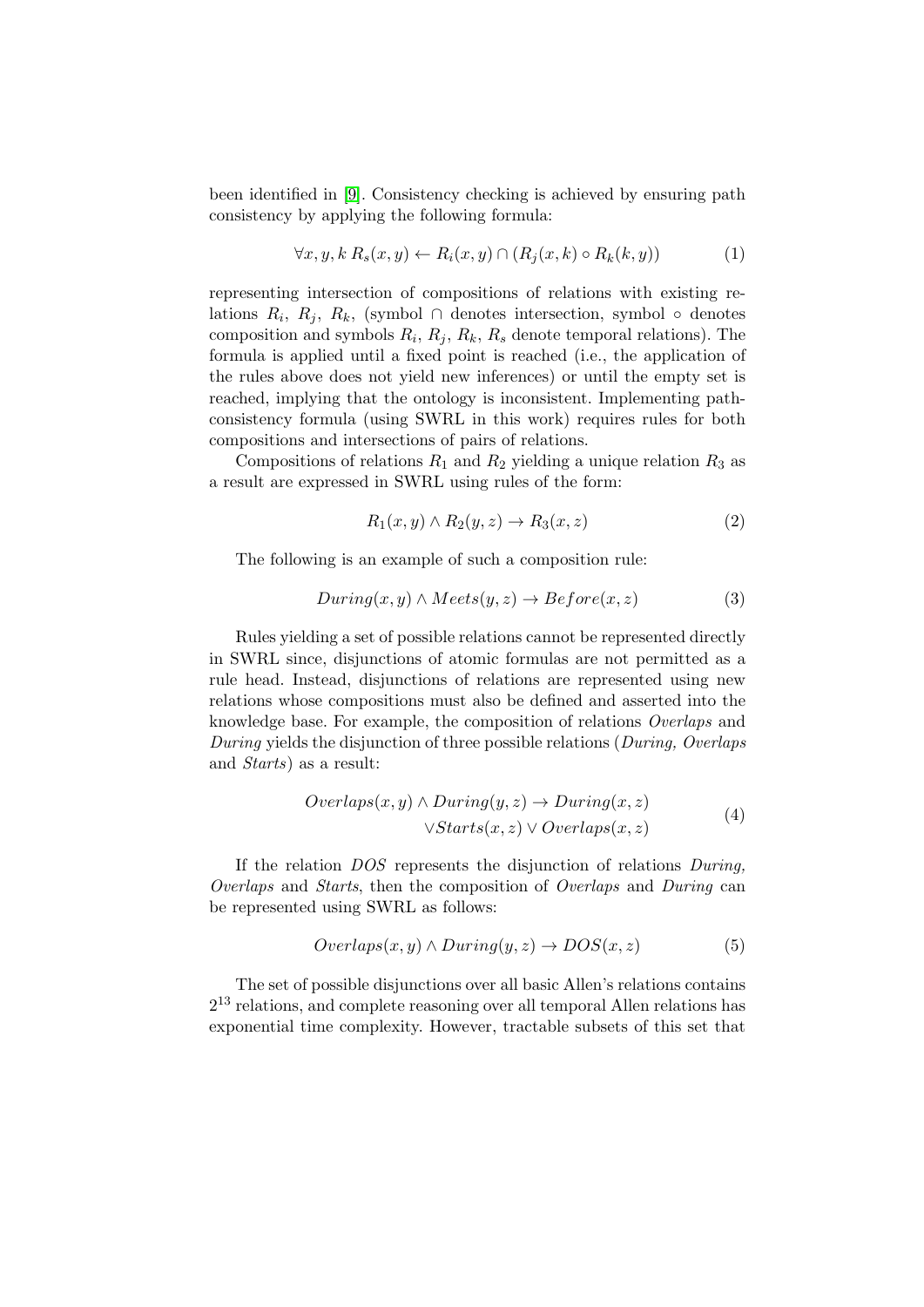been identified in [\[9\]](#page-33-1). Consistency checking is achieved by ensuring path consistency by applying the following formula:

<span id="page-9-0"></span>
$$
\forall x, y, k \ R_s(x, y) \leftarrow R_i(x, y) \cap (R_j(x, k) \circ R_k(k, y)) \tag{1}
$$

representing intersection of compositions of relations with existing relations  $R_i$ ,  $R_j$ ,  $R_k$ , (symbol ∩ denotes intersection, symbol ∘ denotes composition and symbols  $R_i$ ,  $R_j$ ,  $R_k$ ,  $R_s$  denote temporal relations). The formula is applied until a fixed point is reached (i.e., the application of the rules above does not yield new inferences) or until the empty set is reached, implying that the ontology is inconsistent. Implementing pathconsistency formula (using SWRL in this work) requires rules for both compositions and intersections of pairs of relations.

Compositions of relations  $R_1$  and  $R_2$  yielding a unique relation  $R_3$  as a result are expressed in SWRL using rules of the form:

<span id="page-9-1"></span>
$$
R_1(x, y) \wedge R_2(y, z) \rightarrow R_3(x, z) \tag{2}
$$

The following is an example of such a composition rule:

$$
During(x, y) \land Meets(y, z) \rightarrow Before(x, z)
$$
 (3)

Rules yielding a set of possible relations cannot be represented directly in SWRL since, disjunctions of atomic formulas are not permitted as a rule head. Instead, disjunctions of relations are represented using new relations whose compositions must also be defined and asserted into the knowledge base. For example, the composition of relations Overlaps and During yields the disjunction of three possible relations (During, Overlaps and Starts) as a result:

$$
Overlags(x, y) \land During(y, z) \rightarrow During(x, z)
$$
  

$$
\lor Starts(x, z) \lor Overlags(x, z)
$$
 (4)

If the relation DOS represents the disjunction of relations During, Overlaps and Starts, then the composition of Overlaps and During can be represented using SWRL as follows:

$$
Overlags(x, y) \land During(y, z) \rightarrow DOS(x, z) \tag{5}
$$

The set of possible disjunctions over all basic Allen's relations contains  $2^{13}$  relations, and complete reasoning over all temporal Allen relations has exponential time complexity. However, tractable subsets of this set that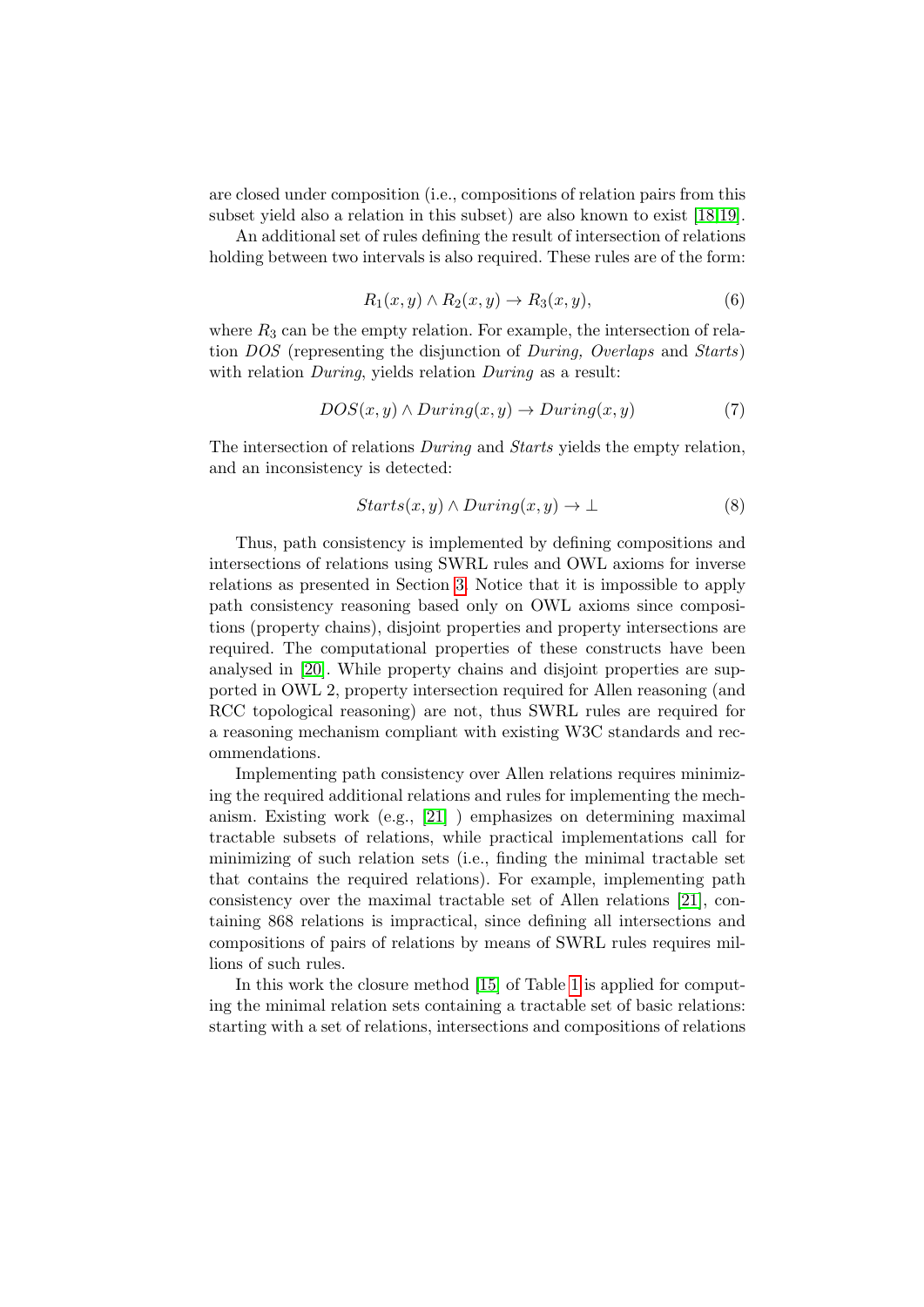are closed under composition (i.e., compositions of relation pairs from this subset yield also a relation in this subset) are also known to exist [\[18,](#page-33-10)[19\]](#page-33-11).

<span id="page-10-0"></span>An additional set of rules defining the result of intersection of relations holding between two intervals is also required. These rules are of the form:

$$
R_1(x, y) \wedge R_2(x, y) \rightarrow R_3(x, y), \tag{6}
$$

where  $R_3$  can be the empty relation. For example, the intersection of relation DOS (representing the disjunction of During, Overlaps and Starts) with relation *During*, yields relation *During* as a result:

$$
DOS(x, y) \land During(x, y) \rightarrow During(x, y)
$$
\n
$$
(7)
$$

The intersection of relations During and Starts yields the empty relation, and an inconsistency is detected:

$$
Starts(x, y) \land During(x, y) \to \bot
$$
\n(8)

Thus, path consistency is implemented by defining compositions and intersections of relations using SWRL rules and OWL axioms for inverse relations as presented in Section [3.](#page-5-0) Notice that it is impossible to apply path consistency reasoning based only on OWL axioms since compositions (property chains), disjoint properties and property intersections are required. The computational properties of these constructs have been analysed in [\[20\]](#page-33-12). While property chains and disjoint properties are supported in OWL 2, property intersection required for Allen reasoning (and RCC topological reasoning) are not, thus SWRL rules are required for a reasoning mechanism compliant with existing W3C standards and recommendations.

Implementing path consistency over Allen relations requires minimizing the required additional relations and rules for implementing the mechanism. Existing work (e.g., [\[21\]](#page-33-13) ) emphasizes on determining maximal tractable subsets of relations, while practical implementations call for minimizing of such relation sets (i.e., finding the minimal tractable set that contains the required relations). For example, implementing path consistency over the maximal tractable set of Allen relations [\[21\]](#page-33-13), containing 868 relations is impractical, since defining all intersections and compositions of pairs of relations by means of SWRL rules requires millions of such rules.

In this work the closure method [\[15\]](#page-33-7) of Table [1](#page-11-0) is applied for computing the minimal relation sets containing a tractable set of basic relations: starting with a set of relations, intersections and compositions of relations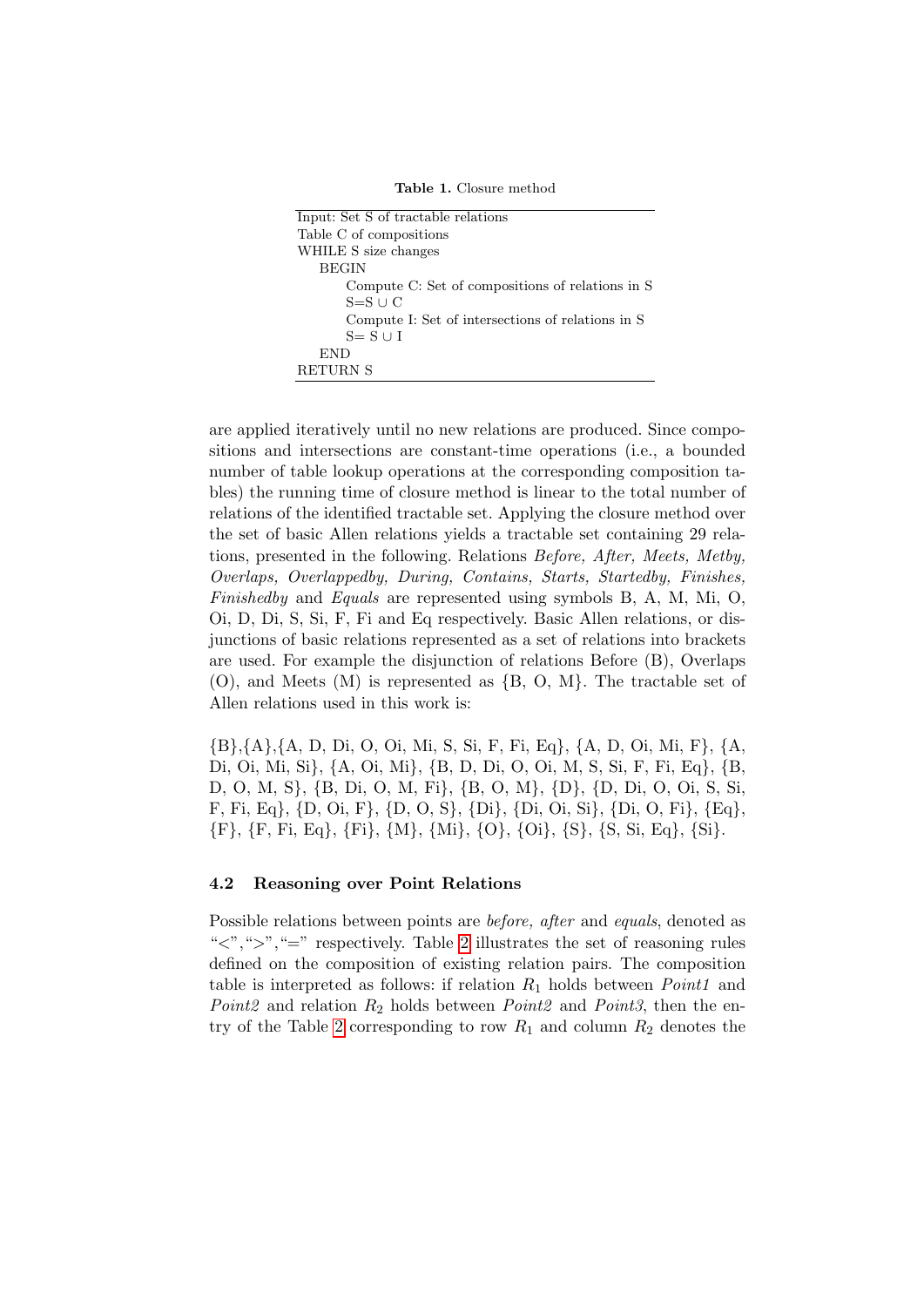<span id="page-11-0"></span>

|  |  | <b>Table 1.</b> Closure method |  |
|--|--|--------------------------------|--|
|--|--|--------------------------------|--|

| Input: Set S of tractable relations               |
|---------------------------------------------------|
| Table C of compositions                           |
| WHILE S size changes                              |
| <b>BEGIN</b>                                      |
| Compute C: Set of compositions of relations in S  |
| $S = S \cup C$                                    |
| Compute I: Set of intersections of relations in S |
| $S = S \cup I$                                    |
| END                                               |
| RETURN S                                          |

are applied iteratively until no new relations are produced. Since compositions and intersections are constant-time operations (i.e., a bounded number of table lookup operations at the corresponding composition tables) the running time of closure method is linear to the total number of relations of the identified tractable set. Applying the closure method over the set of basic Allen relations yields a tractable set containing 29 relations, presented in the following. Relations Before, After, Meets, Metby, Overlaps, Overlappedby, During, Contains, Starts, Startedby, Finishes, Finishedby and Equals are represented using symbols B, A, M, Mi, O, Oi, D, Di, S, Si, F, Fi and Eq respectively. Basic Allen relations, or disjunctions of basic relations represented as a set of relations into brackets are used. For example the disjunction of relations Before (B), Overlaps (O), and Meets (M) is represented as {B, O, M}. The tractable set of Allen relations used in this work is:

{B},{A},{A, D, Di, O, Oi, Mi, S, Si, F, Fi, Eq}, {A, D, Oi, Mi, F}, {A, Di, Oi, Mi, Si}, {A, Oi, Mi}, {B, D, Di, O, Oi, M, S, Si, F, Fi, Eq}, {B, D, O, M, S}, {B, Di, O, M, Fi}, {B, O, M}, {D}, {D, Di, O, Oi, S, Si, F, Fi, Eq}, {D, Oi, F}, {D, O, S}, {Di}, {Di, Oi, Si}, {Di, O, Fi}, {Eq},  ${F}, {F}, F$ ; Eq},  ${F}$ ; Eq},  ${M}, {M}$ ;  ${O}, {O}$ ;  ${S}, {S}$ ;  ${S}, S$ ; Eq},  ${S}$ ;

#### <span id="page-11-1"></span>4.2 Reasoning over Point Relations

Possible relations between points are before, after and equals, denoted as " $\langle \cdot, \cdot \rangle$ ", "=" respectively. Table [2](#page-12-0) illustrates the set of reasoning rules defined on the composition of existing relation pairs. The composition table is interpreted as follows: if relation  $R_1$  holds between *Point1* and *Point2* and relation  $R_2$  holds between *Point2* and *Point3*, then the en-try of the Table [2](#page-12-0) corresponding to row  $R_1$  and column  $R_2$  denotes the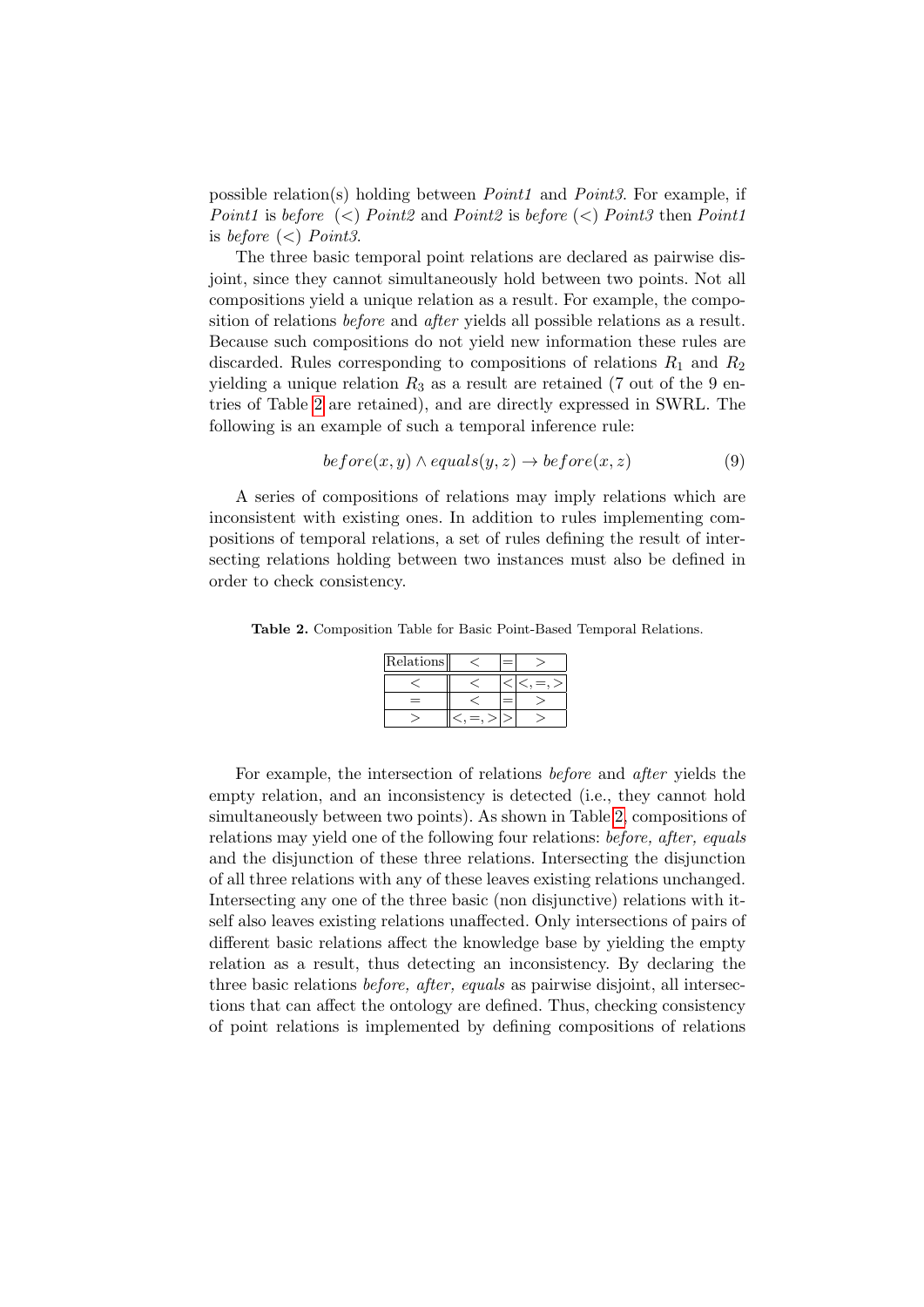possible relation(s) holding between  $Point1$  and  $Point3$ . For example, if Point1 is before  $\langle \langle \rangle$  Point2 and Point2 is before  $\langle \langle \rangle$  Point3 then Point1 is before  $(<)$  Point3.

The three basic temporal point relations are declared as pairwise disjoint, since they cannot simultaneously hold between two points. Not all compositions yield a unique relation as a result. For example, the composition of relations before and after yields all possible relations as a result. Because such compositions do not yield new information these rules are discarded. Rules corresponding to compositions of relations  $R_1$  and  $R_2$ yielding a unique relation  $R_3$  as a result are retained (7 out of the 9 entries of Table [2](#page-12-0) are retained), and are directly expressed in SWRL. The following is an example of such a temporal inference rule:

$$
before(x, y) \land equals(y, z) \rightarrow before(x, z) \tag{9}
$$

A series of compositions of relations may imply relations which are inconsistent with existing ones. In addition to rules implementing compositions of temporal relations, a set of rules defining the result of intersecting relations holding between two instances must also be defined in order to check consistency.

<span id="page-12-0"></span>Table 2. Composition Table for Basic Point-Based Temporal Relations.

| Relations |  |  |
|-----------|--|--|
|           |  |  |
|           |  |  |
|           |  |  |

For example, the intersection of relations before and after yields the empty relation, and an inconsistency is detected (i.e., they cannot hold simultaneously between two points). As shown in Table [2,](#page-12-0) compositions of relations may yield one of the following four relations: *before*, *after*, *equals* and the disjunction of these three relations. Intersecting the disjunction of all three relations with any of these leaves existing relations unchanged. Intersecting any one of the three basic (non disjunctive) relations with itself also leaves existing relations unaffected. Only intersections of pairs of different basic relations affect the knowledge base by yielding the empty relation as a result, thus detecting an inconsistency. By declaring the three basic relations before, after, equals as pairwise disjoint, all intersections that can affect the ontology are defined. Thus, checking consistency of point relations is implemented by defining compositions of relations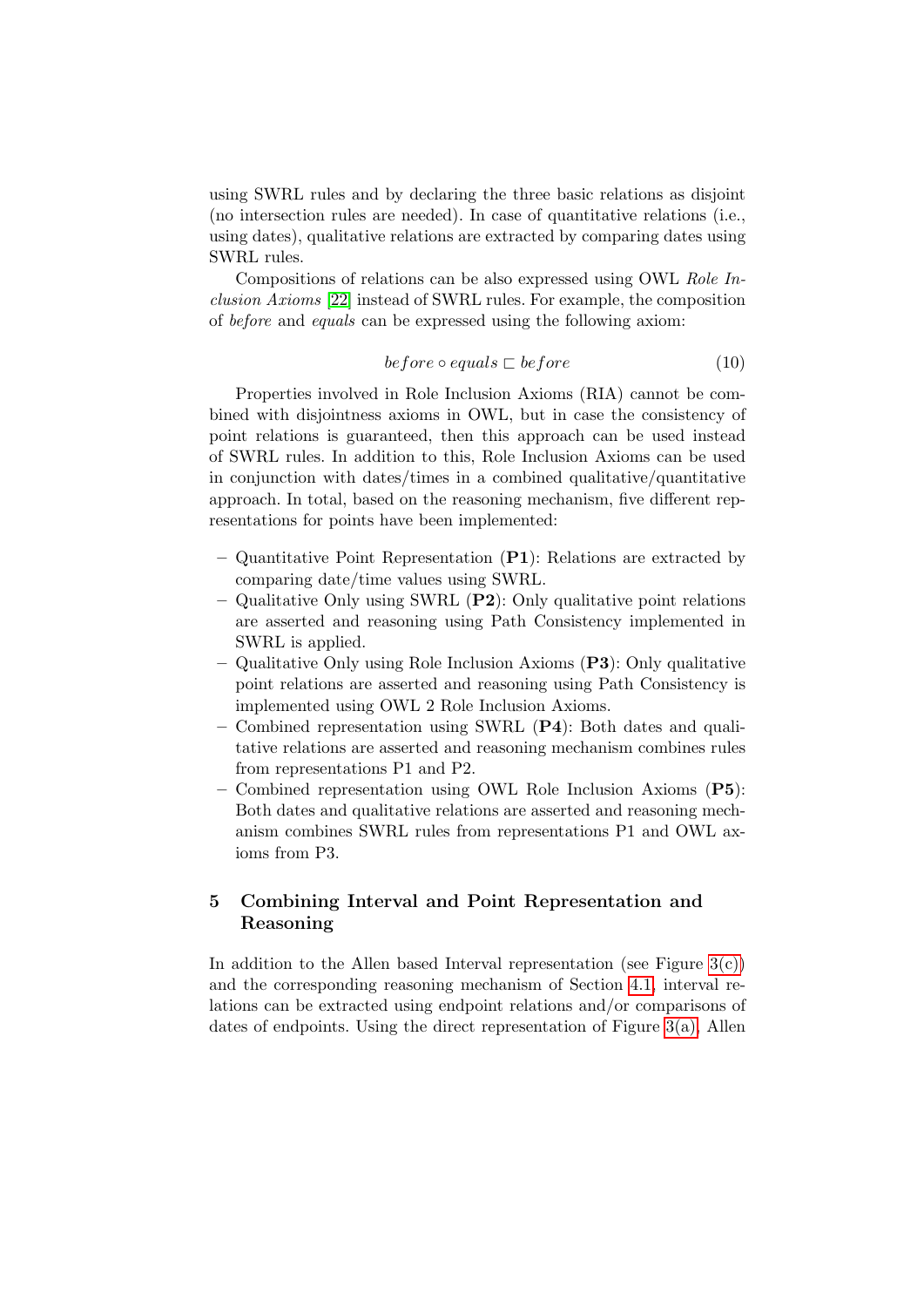using SWRL rules and by declaring the three basic relations as disjoint (no intersection rules are needed). In case of quantitative relations (i.e., using dates), qualitative relations are extracted by comparing dates using SWRL rules.

Compositions of relations can be also expressed using OWL Role Inclusion Axioms [\[22\]](#page-33-14) instead of SWRL rules. For example, the composition of before and equals can be expressed using the following axiom:

$$
before \circ equals \sqsubset before \tag{10}
$$

Properties involved in Role Inclusion Axioms (RIA) cannot be combined with disjointness axioms in OWL, but in case the consistency of point relations is guaranteed, then this approach can be used instead of SWRL rules. In addition to this, Role Inclusion Axioms can be used in conjunction with dates/times in a combined qualitative/quantitative approach. In total, based on the reasoning mechanism, five different representations for points have been implemented:

- Quantitative Point Representation  $(PI)$ : Relations are extracted by comparing date/time values using SWRL.
- Qualitative Only using SWRL  $(P2)$ : Only qualitative point relations are asserted and reasoning using Path Consistency implemented in SWRL is applied.
- Qualitative Only using Role Inclusion Axioms (P3): Only qualitative point relations are asserted and reasoning using Path Consistency is implemented using OWL 2 Role Inclusion Axioms.
- Combined representation using SWRL (P4): Both dates and qualitative relations are asserted and reasoning mechanism combines rules from representations P1 and P2.
- Combined representation using OWL Role Inclusion Axioms (P5): Both dates and qualitative relations are asserted and reasoning mechanism combines SWRL rules from representations P1 and OWL axioms from P3.

# <span id="page-13-0"></span>5 Combining Interval and Point Representation and Reasoning

In addition to the Allen based Interval representation (see Figure  $3(c)$ ) and the corresponding reasoning mechanism of Section [4.1,](#page-8-0) interval relations can be extracted using endpoint relations and/or comparisons of dates of endpoints. Using the direct representation of Figure [3\(a\),](#page-7-0) Allen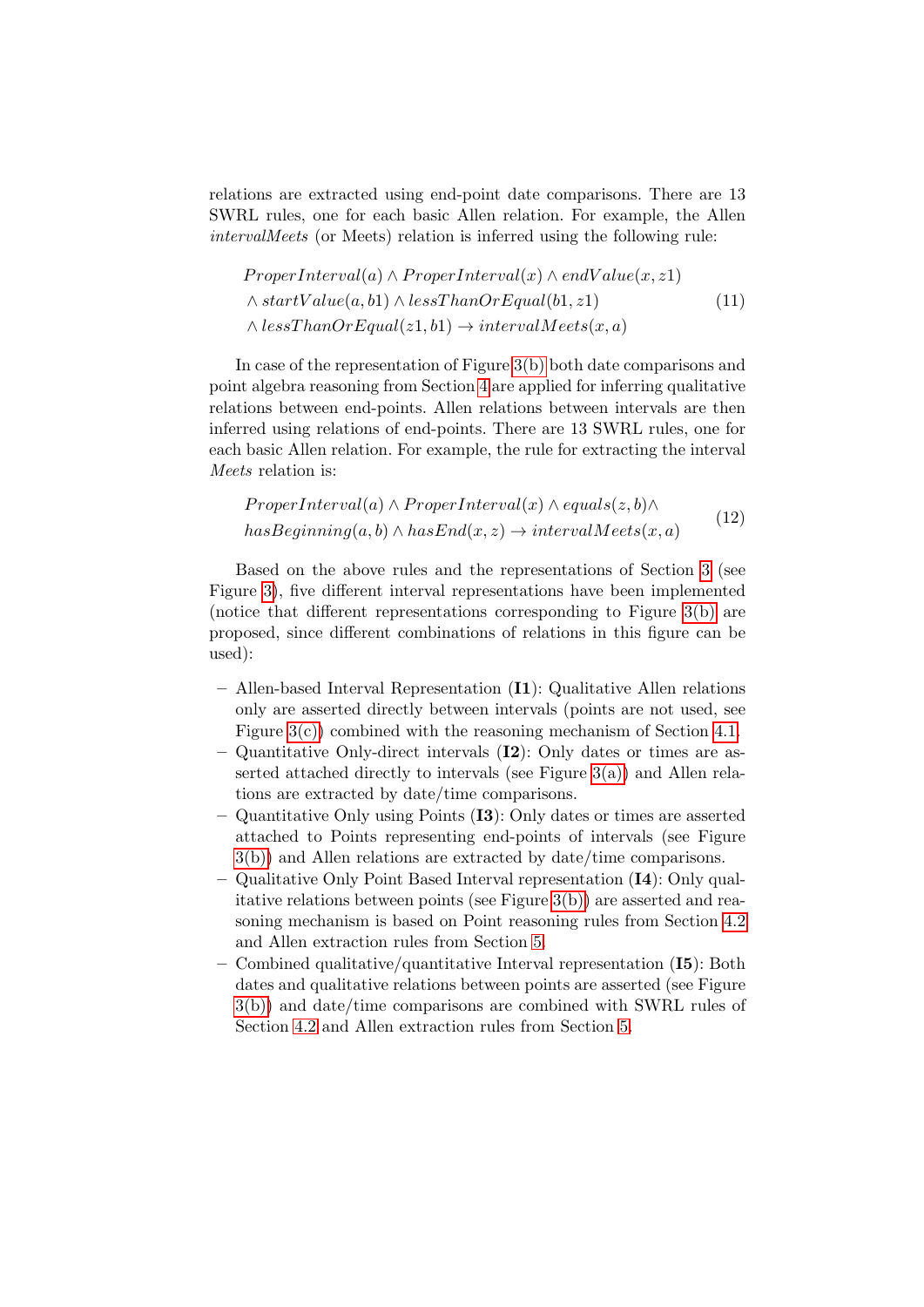relations are extracted using end-point date comparisons. There are 13 SWRL rules, one for each basic Allen relation. For example, the Allen intervalMeets (or Meets) relation is inferred using the following rule:

$$
ProperInterval(a) \land ProperInterval(x) \land endValue(x, z1)
$$
  
\n
$$
\land startValue(a, b1) \land lessThanOrEqual(b1, z1)
$$
  
\n
$$
\land lessThanOrEqual(z1, b1) \rightarrow intervalMets(x, a)
$$
  
\n(11)

In case of the representation of Figure [3\(b\)](#page-7-1) both date comparisons and point algebra reasoning from Section [4](#page-6-0) are applied for inferring qualitative relations between end-points. Allen relations between intervals are then inferred using relations of end-points. There are 13 SWRL rules, one for each basic Allen relation. For example, the rule for extracting the interval Meets relation is:

$$
ProperInterval(a) \land ProperInterval(x) \land equals(z, b) \land has Beginning(a, b) \land hasEnd(x, z) \rightarrow intervalMeets(x, a)
$$
 (12)

Based on the above rules and the representations of Section [3](#page-5-0) (see Figure [3\)](#page-7-3), five different interval representations have been implemented (notice that different representations corresponding to Figure [3\(b\)](#page-7-1) are proposed, since different combinations of relations in this figure can be used):

- Allen-based Interval Representation (I1): Qualitative Allen relations only are asserted directly between intervals (points are not used, see Figure [3\(c\)\)](#page-7-2) combined with the reasoning mechanism of Section [4.1.](#page-8-0)
- Quantitative Only-direct intervals (I2): Only dates or times are asserted attached directly to intervals (see Figure  $3(a)$ ) and Allen relations are extracted by date/time comparisons.
- Quantitative Only using Points (I3): Only dates or times are asserted attached to Points representing end-points of intervals (see Figure [3\(b\)\)](#page-7-1) and Allen relations are extracted by date/time comparisons.
- Qualitative Only Point Based Interval representation (I4): Only qualitative relations between points (see Figure [3\(b\)\)](#page-7-1) are asserted and reasoning mechanism is based on Point reasoning rules from Section [4.2](#page-11-1) and Allen extraction rules from Section [5.](#page-13-0)
- Combined qualitative/quantitative Interval representation (I5): Both dates and qualitative relations between points are asserted (see Figure [3\(b\)\)](#page-7-1) and date/time comparisons are combined with SWRL rules of Section [4.2](#page-11-1) and Allen extraction rules from Section [5.](#page-13-0)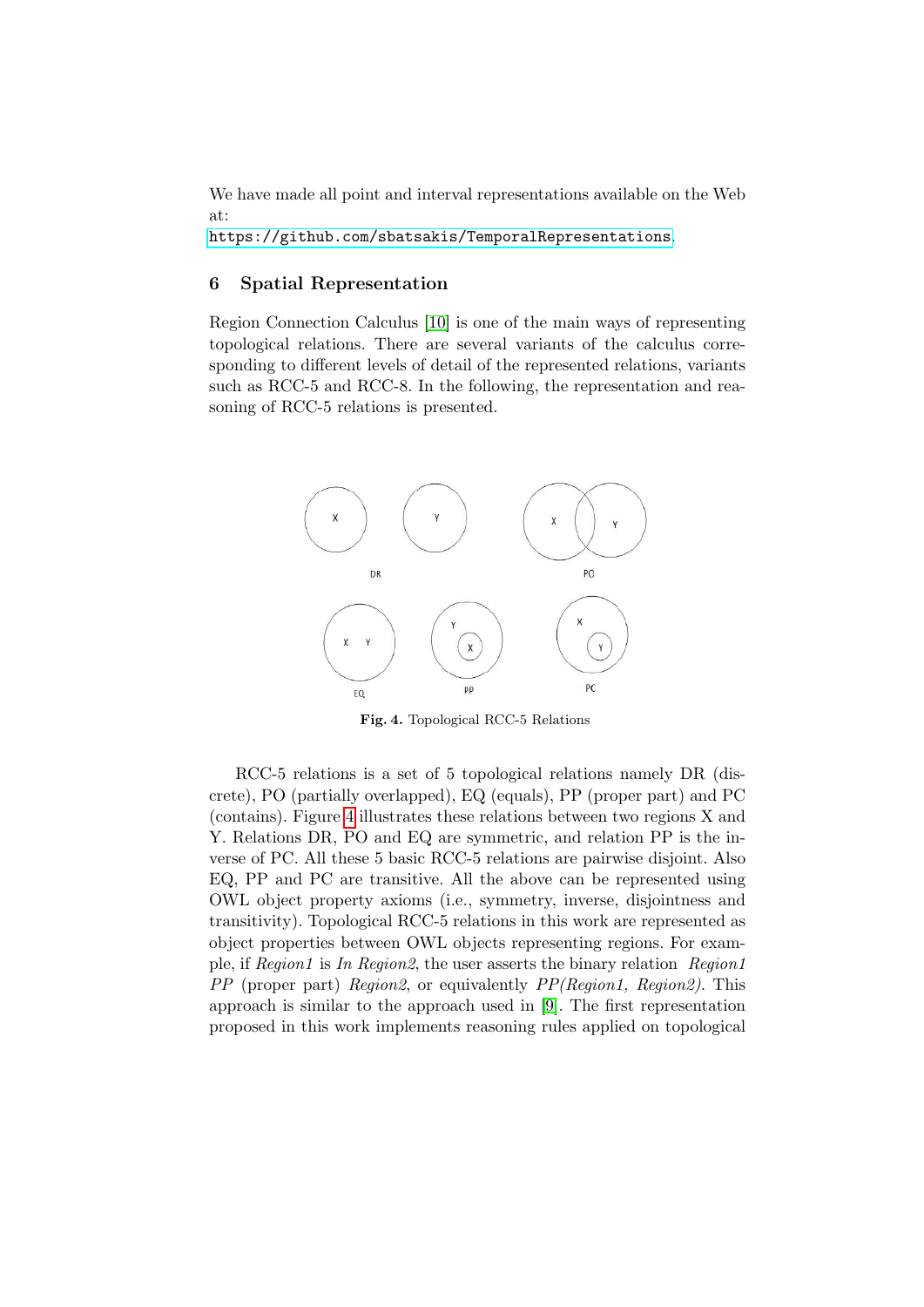We have made all point and interval representations available on the Web at:

<https://github.com/sbatsakis/TemporalRepresentations>.

## <span id="page-15-0"></span>6 Spatial Representation

Region Connection Calculus [\[10\]](#page-33-2) is one of the main ways of representing topological relations. There are several variants of the calculus corresponding to different levels of detail of the represented relations, variants such as RCC-5 and RCC-8. In the following, the representation and reasoning of RCC-5 relations is presented.



<span id="page-15-1"></span>Fig. 4. Topological RCC-5 Relations

RCC-5 relations is a set of 5 topological relations namely DR (discrete), PO (partially overlapped), EQ (equals), PP (proper part) and PC (contains). Figure [4](#page-15-1) illustrates these relations between two regions X and Y. Relations DR, PO and EQ are symmetric, and relation PP is the inverse of PC. All these 5 basic RCC-5 relations are pairwise disjoint. Also EQ, PP and PC are transitive. All the above can be represented using OWL object property axioms (i.e., symmetry, inverse, disjointness and transitivity). Topological RCC-5 relations in this work are represented as object properties between OWL objects representing regions. For example, if Region1 is In Region2, the user asserts the binary relation Region1  $PP$  (proper part) Region2, or equivalently  $PP(Region1, Region2)$ . This approach is similar to the approach used in [\[9\]](#page-33-1). The first representation proposed in this work implements reasoning rules applied on topological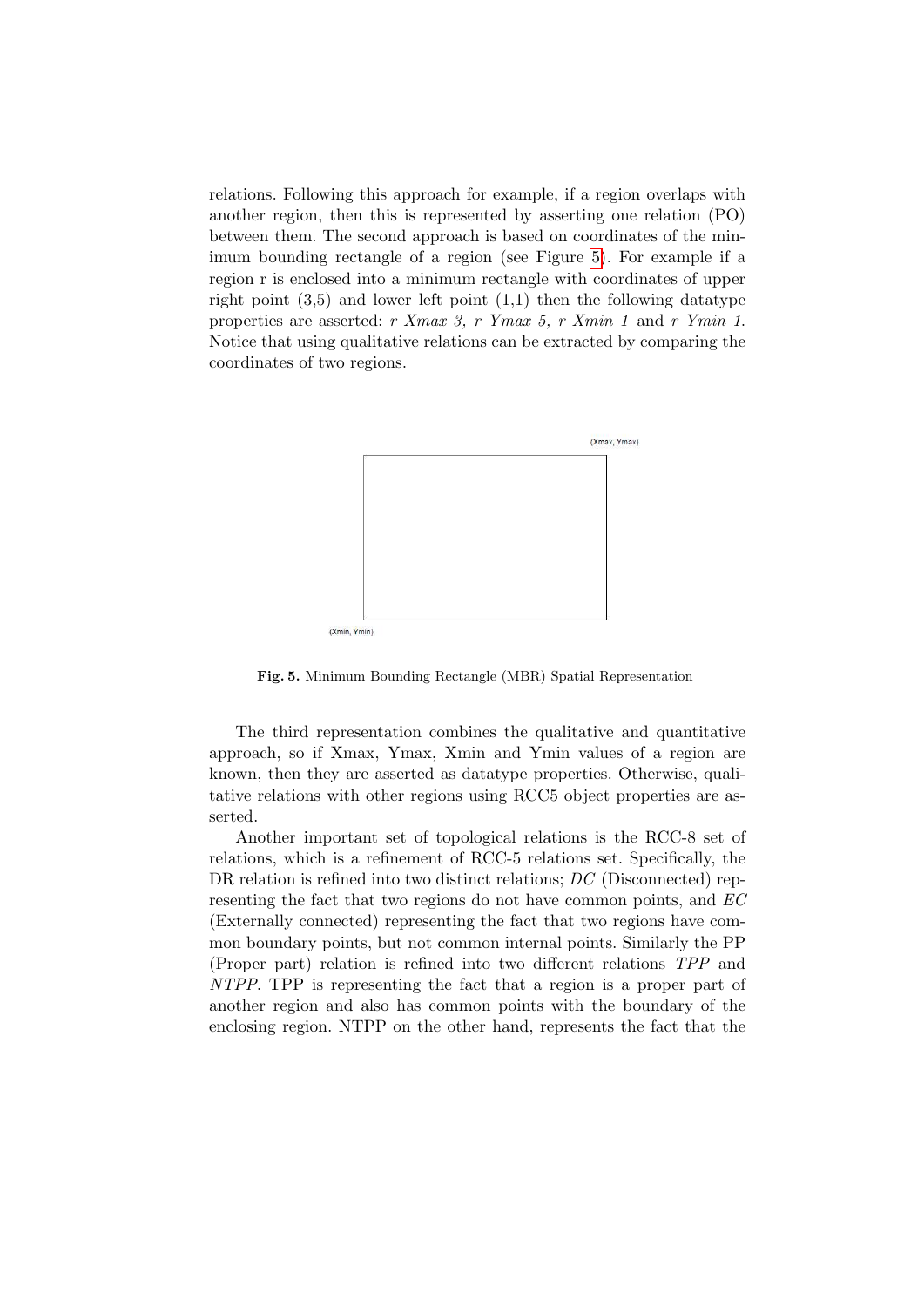relations. Following this approach for example, if a region overlaps with another region, then this is represented by asserting one relation (PO) between them. The second approach is based on coordinates of the minimum bounding rectangle of a region (see Figure [5\)](#page-16-0). For example if a region r is enclosed into a minimum rectangle with coordinates of upper right point  $(3,5)$  and lower left point  $(1,1)$  then the following datatype properties are asserted: r Xmax 3, r Ymax 5, r Xmin 1 and r Ymin 1. Notice that using qualitative relations can be extracted by comparing the coordinates of two regions.



<span id="page-16-0"></span>Fig. 5. Minimum Bounding Rectangle (MBR) Spatial Representation

The third representation combines the qualitative and quantitative approach, so if Xmax, Ymax, Xmin and Ymin values of a region are known, then they are asserted as datatype properties. Otherwise, qualitative relations with other regions using RCC5 object properties are asserted.

Another important set of topological relations is the RCC-8 set of relations, which is a refinement of RCC-5 relations set. Specifically, the DR relation is refined into two distinct relations; DC (Disconnected) representing the fact that two regions do not have common points, and EC (Externally connected) representing the fact that two regions have common boundary points, but not common internal points. Similarly the PP (Proper part) relation is refined into two different relations TPP and NTPP. TPP is representing the fact that a region is a proper part of another region and also has common points with the boundary of the enclosing region. NTPP on the other hand, represents the fact that the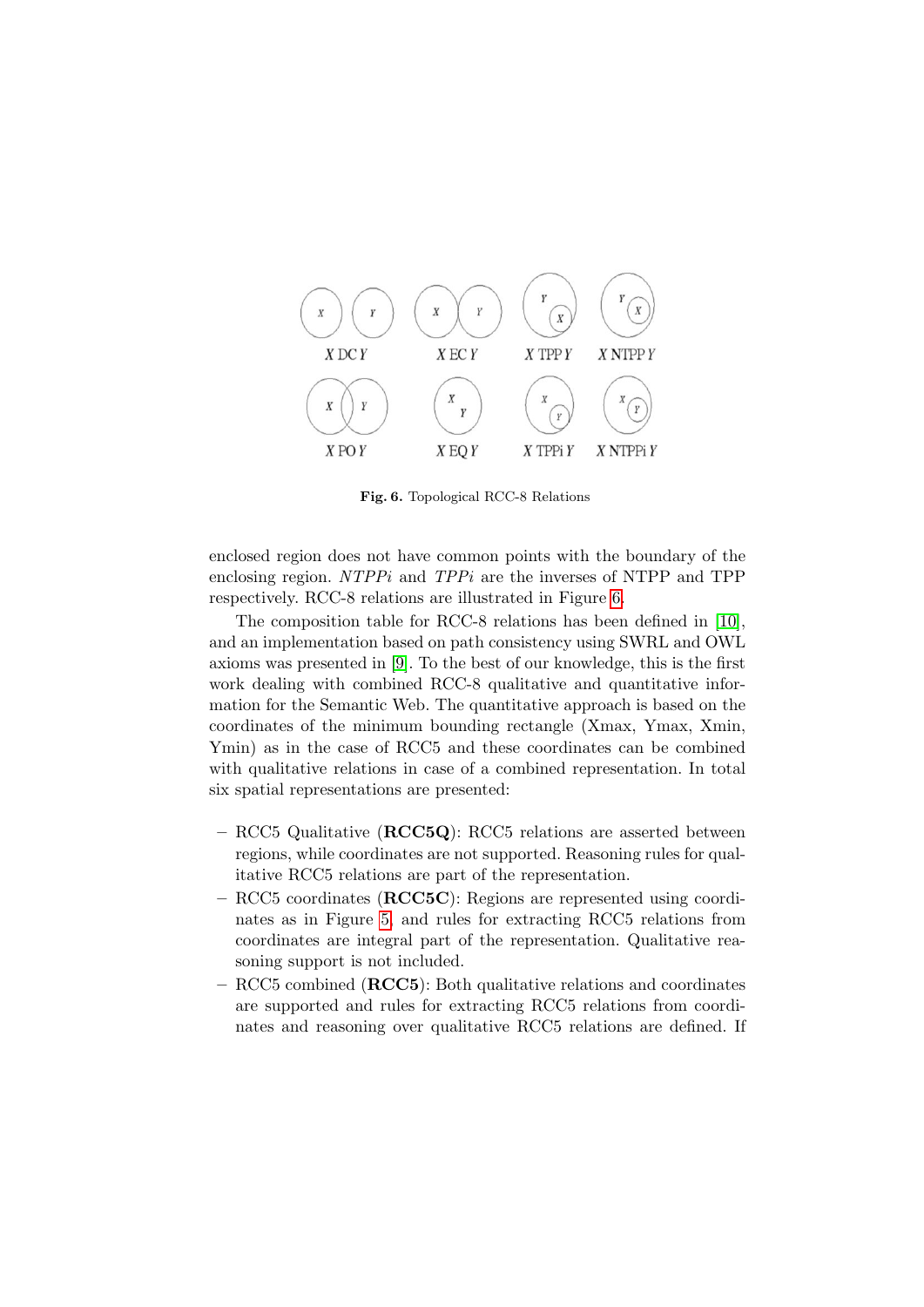

<span id="page-17-0"></span>Fig. 6. Topological RCC-8 Relations

enclosed region does not have common points with the boundary of the enclosing region. NTPPi and TPPi are the inverses of NTPP and TPP respectively. RCC-8 relations are illustrated in Figure [6.](#page-17-0)

The composition table for RCC-8 relations has been defined in [\[10\]](#page-33-2), and an implementation based on path consistency using SWRL and OWL axioms was presented in [\[9\]](#page-33-1). To the best of our knowledge, this is the first work dealing with combined RCC-8 qualitative and quantitative information for the Semantic Web. The quantitative approach is based on the coordinates of the minimum bounding rectangle (Xmax, Ymax, Xmin, Ymin) as in the case of RCC5 and these coordinates can be combined with qualitative relations in case of a combined representation. In total six spatial representations are presented:

- RCC5 Qualitative (RCC5Q): RCC5 relations are asserted between regions, while coordinates are not supported. Reasoning rules for qualitative RCC5 relations are part of the representation.
- RCC5 coordinates (RCC5C): Regions are represented using coordinates as in Figure [5,](#page-16-0) and rules for extracting RCC5 relations from coordinates are integral part of the representation. Qualitative reasoning support is not included.
- RCC5 combined (RCC5): Both qualitative relations and coordinates are supported and rules for extracting RCC5 relations from coordinates and reasoning over qualitative RCC5 relations are defined. If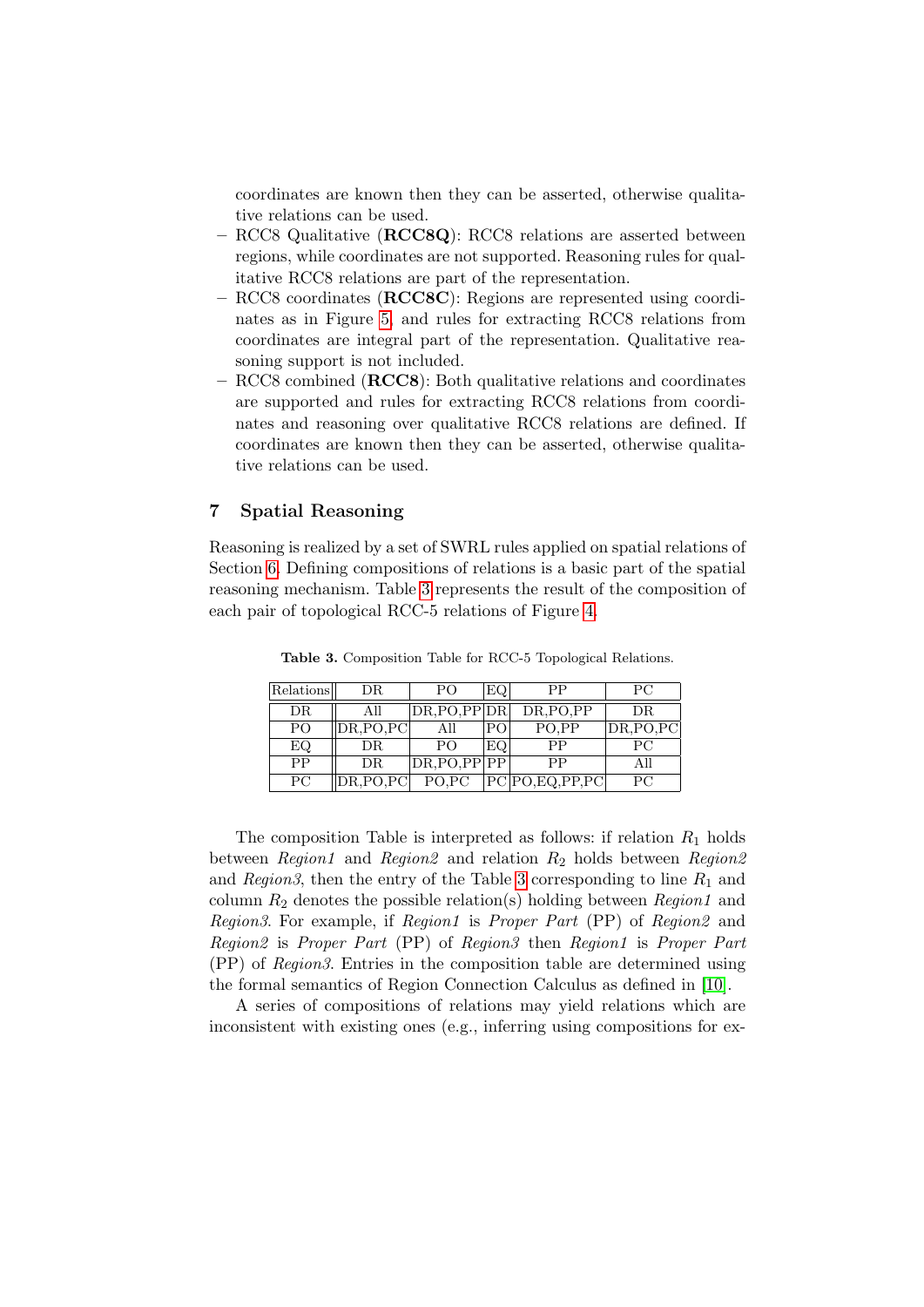coordinates are known then they can be asserted, otherwise qualitative relations can be used.

- RCC8 Qualitative (RCC8Q): RCC8 relations are asserted between regions, while coordinates are not supported. Reasoning rules for qualitative RCC8 relations are part of the representation.
- RCC8 coordinates (RCC8C): Regions are represented using coordinates as in Figure [5,](#page-16-0) and rules for extracting RCC8 relations from coordinates are integral part of the representation. Qualitative reasoning support is not included.
- RCC8 combined (RCC8): Both qualitative relations and coordinates are supported and rules for extracting RCC8 relations from coordinates and reasoning over qualitative RCC8 relations are defined. If coordinates are known then they can be asserted, otherwise qualitative relations can be used.

### <span id="page-18-0"></span>7 Spatial Reasoning

Reasoning is realized by a set of SWRL rules applied on spatial relations of Section [6.](#page-15-0) Defining compositions of relations is a basic part of the spatial reasoning mechanism. Table [3](#page-18-1) represents the result of the composition of each pair of topological RCC-5 relations of Figure [4.](#page-15-1)

| Relations | DR       | PО              | EQ. | РP             | PС       |
|-----------|----------|-----------------|-----|----------------|----------|
| DR        | All      | DR.PO.PP DR     |     | DR,PO,PP       | DR       |
| PО        | DR.PO.PC | All             | PΟ  | PO.PP          | DR,PO,PC |
| EQ        | DR       | P <sub>O</sub>  | EQ  | PP             | РC       |
| PP        | DR       | $DR.PO.PP$ $PP$ |     | PP             | All      |
| PC        | DR.PO.PC | PO.PC           |     | PC PO,EQ,PP,PC | PС       |

<span id="page-18-1"></span>Table 3. Composition Table for RCC-5 Topological Relations.

The composition Table is interpreted as follows: if relation  $R_1$  holds between Region1 and Region2 and relation  $R_2$  holds between Region2 and Region3, then the entry of the Table [3](#page-18-1) corresponding to line  $R_1$  and column  $R_2$  denotes the possible relation(s) holding between Region1 and Region3. For example, if Region1 is Proper Part (PP) of Region2 and Region2 is Proper Part (PP) of Region3 then Region1 is Proper Part (PP) of Region3. Entries in the composition table are determined using the formal semantics of Region Connection Calculus as defined in [\[10\]](#page-33-2).

A series of compositions of relations may yield relations which are inconsistent with existing ones (e.g., inferring using compositions for ex-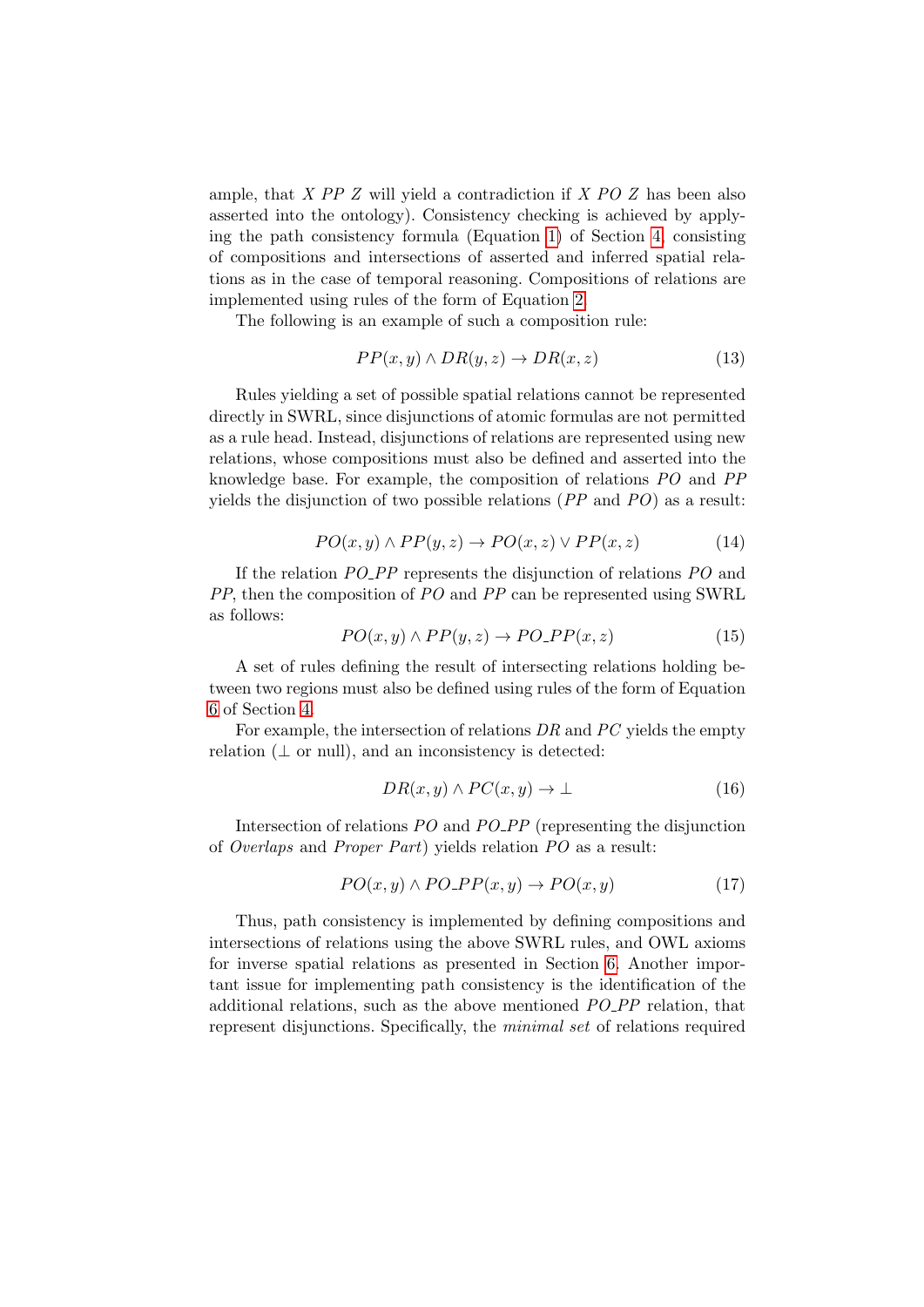ample, that  $X$  PP  $Z$  will yield a contradiction if  $X$  PO  $Z$  has been also asserted into the ontology). Consistency checking is achieved by applying the path consistency formula (Equation [1\)](#page-9-0) of Section [4,](#page-6-0) consisting of compositions and intersections of asserted and inferred spatial relations as in the case of temporal reasoning. Compositions of relations are implemented using rules of the form of Equation [2.](#page-9-1)

The following is an example of such a composition rule:

$$
PP(x, y) \land DR(y, z) \to DR(x, z) \tag{13}
$$

Rules yielding a set of possible spatial relations cannot be represented directly in SWRL, since disjunctions of atomic formulas are not permitted as a rule head. Instead, disjunctions of relations are represented using new relations, whose compositions must also be defined and asserted into the knowledge base. For example, the composition of relations PO and PP yields the disjunction of two possible relations (PP and PO) as a result:

$$
PO(x, y) \land PP(y, z) \to PO(x, z) \lor PP(x, z) \tag{14}
$$

If the relation *PO\_PP* represents the disjunction of relations *PO* and PP, then the composition of PO and PP can be represented using SWRL as follows:

$$
PO(x, y) \land PP(y, z) \to PO\_PP(x, z) \tag{15}
$$

A set of rules defining the result of intersecting relations holding between two regions must also be defined using rules of the form of Equation [6](#page-10-0) of Section [4.](#page-6-0)

For example, the intersection of relations DR and PC yields the empty relation  $(\perp$  or null), and an inconsistency is detected:

$$
DR(x, y) \land PC(x, y) \to \bot
$$
\n<sup>(16)</sup>

Intersection of relations  $PO$  and  $PO$  PP (representing the disjunction of Overlaps and Proper Part) yields relation PO as a result:

$$
PO(x, y) \land PO\_PP(x, y) \rightarrow PO(x, y) \tag{17}
$$

Thus, path consistency is implemented by defining compositions and intersections of relations using the above SWRL rules, and OWL axioms for inverse spatial relations as presented in Section [6.](#page-15-0) Another important issue for implementing path consistency is the identification of the additional relations, such as the above mentioned *PO\_PP* relation, that represent disjunctions. Specifically, the minimal set of relations required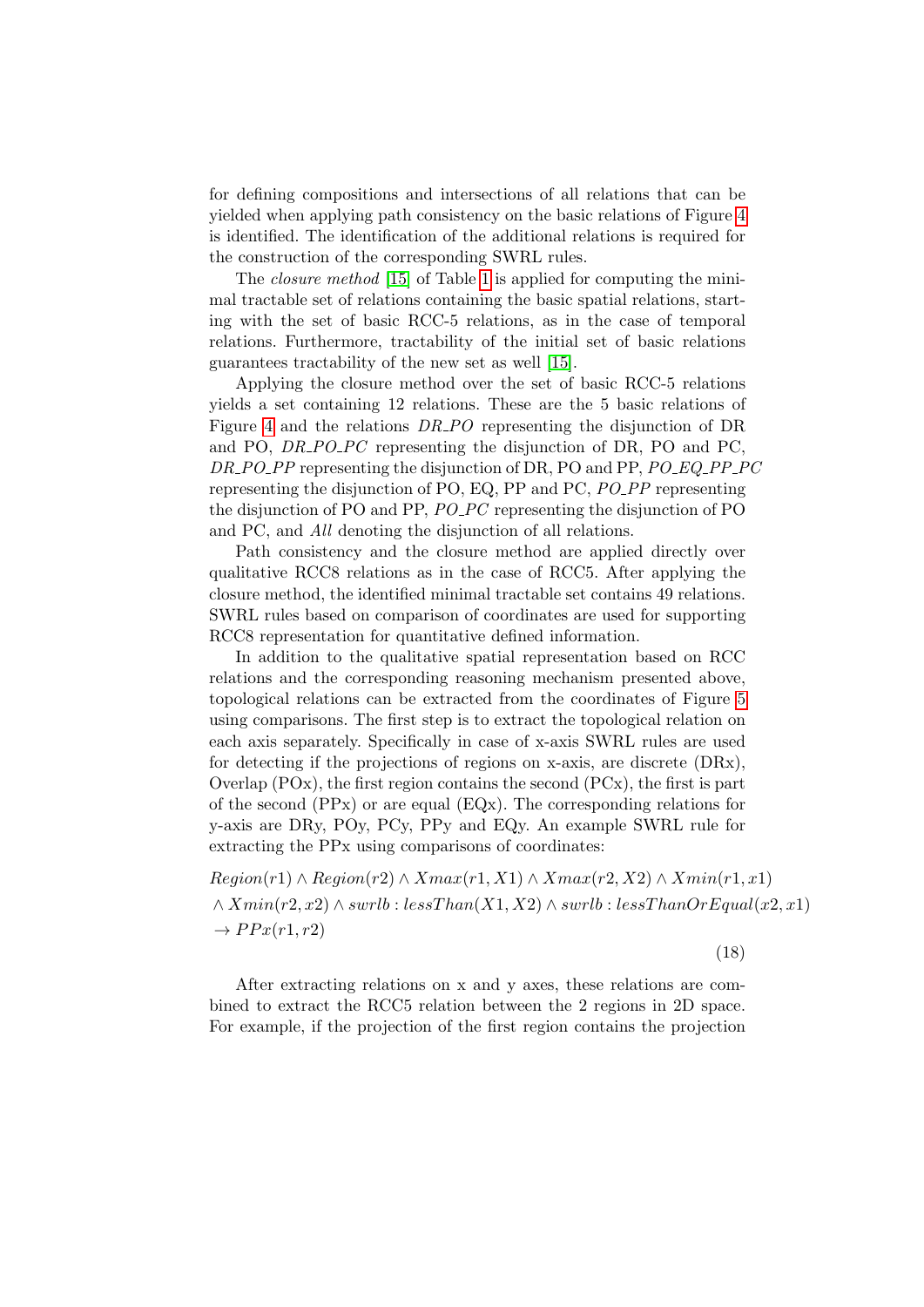for defining compositions and intersections of all relations that can be yielded when applying path consistency on the basic relations of Figure [4](#page-15-1) is identified. The identification of the additional relations is required for the construction of the corresponding SWRL rules.

The *closure method* [\[15\]](#page-33-7) of Table [1](#page-11-0) is applied for computing the minimal tractable set of relations containing the basic spatial relations, starting with the set of basic RCC-5 relations, as in the case of temporal relations. Furthermore, tractability of the initial set of basic relations guarantees tractability of the new set as well [\[15\]](#page-33-7).

Applying the closure method over the set of basic RCC-5 relations yields a set containing 12 relations. These are the 5 basic relations of Figure [4](#page-15-1) and the relations DR PO representing the disjunction of DR and PO,  $DR\_PO\_PC$  representing the disjunction of DR, PO and PC, DR\_PO\_PP representing the disjunction of DR, PO and PP, PO\_EQ\_PP\_PC representing the disjunction of PO, EQ, PP and PC,  $PO\_PP$  representing the disjunction of PO and PP, PO\_PC representing the disjunction of PO and PC, and All denoting the disjunction of all relations.

Path consistency and the closure method are applied directly over qualitative RCC8 relations as in the case of RCC5. After applying the closure method, the identified minimal tractable set contains 49 relations. SWRL rules based on comparison of coordinates are used for supporting RCC8 representation for quantitative defined information.

In addition to the qualitative spatial representation based on RCC relations and the corresponding reasoning mechanism presented above, topological relations can be extracted from the coordinates of Figure [5](#page-16-0) using comparisons. The first step is to extract the topological relation on each axis separately. Specifically in case of x-axis SWRL rules are used for detecting if the projections of regions on x-axis, are discrete (DRx), Overlap  $(POx)$ , the first region contains the second  $(PCx)$ , the first is part of the second  $(PPx)$  or are equal  $(EQx)$ . The corresponding relations for y-axis are DRy, POy, PCy, PPy and EQy. An example SWRL rule for extracting the PPx using comparisons of coordinates:

 $Region(r1) \wedge Region(r2) \wedge Xmax(r1, X1) \wedge Xmax(r2, X2) \wedge Xmin(r1, x1)$  $\land$   $Xmin(r2, x2)$   $\land$   $swrb: less Than(X1, X2)$   $\land$   $swrb: less ThanOrEqual(x2, x1)$  $\rightarrow PPx(r1,r2)$ 

(18)

After extracting relations on x and y axes, these relations are combined to extract the RCC5 relation between the 2 regions in 2D space. For example, if the projection of the first region contains the projection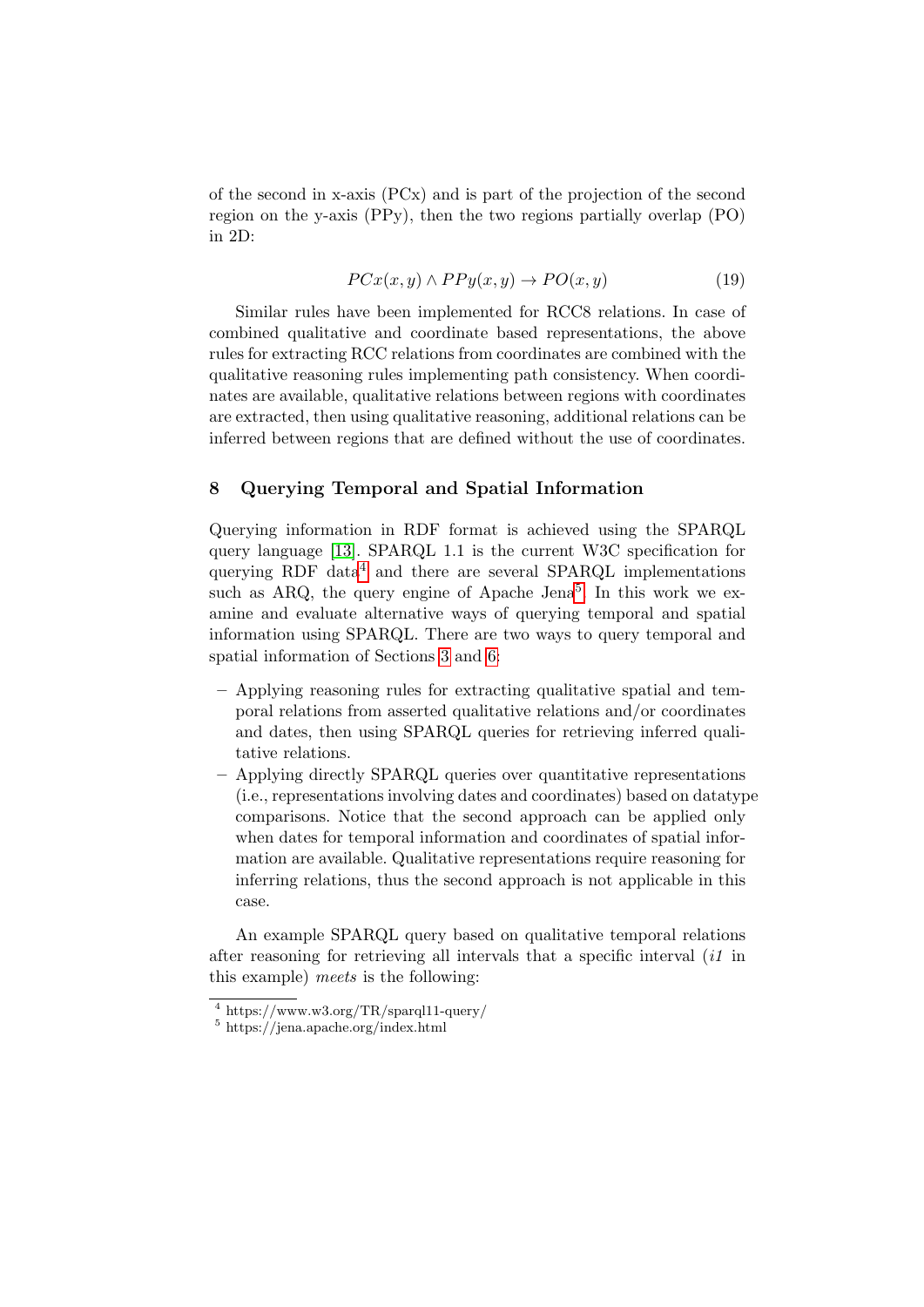of the second in x-axis (PCx) and is part of the projection of the second region on the y-axis (PPy), then the two regions partially overlap (PO) in 2D:

$$
PCx(x, y) \land PPy(x, y) \to PO(x, y) \tag{19}
$$

Similar rules have been implemented for RCC8 relations. In case of combined qualitative and coordinate based representations, the above rules for extracting RCC relations from coordinates are combined with the qualitative reasoning rules implementing path consistency. When coordinates are available, qualitative relations between regions with coordinates are extracted, then using qualitative reasoning, additional relations can be inferred between regions that are defined without the use of coordinates.

### <span id="page-21-0"></span>8 Querying Temporal and Spatial Information

Querying information in RDF format is achieved using the SPARQL query language [\[13\]](#page-33-5). SPARQL 1.1 is the current W3C specification for querying RDF data<sup>[4](#page-21-1)</sup> and there are several SPARQL implementations such as ARQ, the query engine of Apache Jena<sup>[5](#page-21-2)</sup>. In this work we examine and evaluate alternative ways of querying temporal and spatial information using SPARQL. There are two ways to query temporal and spatial information of Sections [3](#page-5-0) and [6:](#page-15-0)

- Applying reasoning rules for extracting qualitative spatial and temporal relations from asserted qualitative relations and/or coordinates and dates, then using SPARQL queries for retrieving inferred qualitative relations.
- Applying directly SPARQL queries over quantitative representations (i.e., representations involving dates and coordinates) based on datatype comparisons. Notice that the second approach can be applied only when dates for temporal information and coordinates of spatial information are available. Qualitative representations require reasoning for inferring relations, thus the second approach is not applicable in this case.

An example SPARQL query based on qualitative temporal relations after reasoning for retrieving all intervals that a specific interval (i1 in this example) meets is the following:

<span id="page-21-1"></span><sup>4</sup> https://www.w3.org/TR/sparql11-query/

<span id="page-21-2"></span><sup>5</sup> https://jena.apache.org/index.html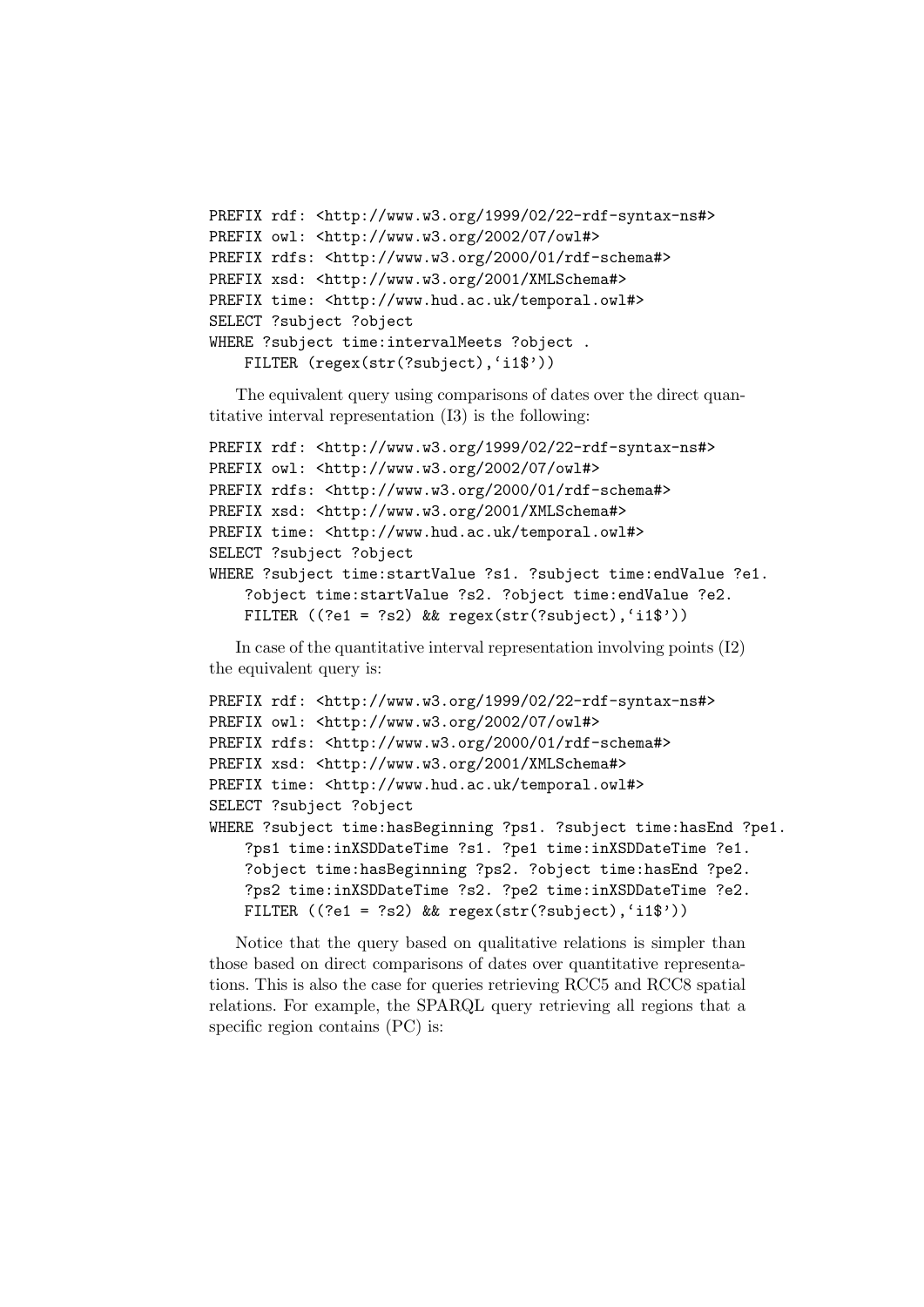```
PREFIX rdf: <http://www.w3.org/1999/02/22-rdf-syntax-ns#>
PREFIX owl: <http://www.w3.org/2002/07/owl#>
PREFIX rdfs: <http://www.w3.org/2000/01/rdf-schema#>
PREFIX xsd: <http://www.w3.org/2001/XMLSchema#>
PREFIX time: <http://www.hud.ac.uk/temporal.owl#>
SELECT ?subject ?object
WHERE ?subject time:intervalMeets ?object .
    FILTER (regex(str(?subject),'i1$'))
```
The equivalent query using comparisons of dates over the direct quantitative interval representation (I3) is the following:

```
PREFIX rdf: <http://www.w3.org/1999/02/22-rdf-syntax-ns#>
PREFIX owl: <http://www.w3.org/2002/07/owl#>
PREFIX rdfs: <http://www.w3.org/2000/01/rdf-schema#>
PREFIX xsd: <http://www.w3.org/2001/XMLSchema#>
PREFIX time: <http://www.hud.ac.uk/temporal.owl#>
SELECT ?subject ?object
WHERE ?subject time:startValue ?s1. ?subject time:endValue ?e1.
    ?object time:startValue ?s2. ?object time:endValue ?e2.
    FILTER ((?e1 = ?s2) && regex(str(?subject),'i1$'))
```
In case of the quantitative interval representation involving points (I2) the equivalent query is:

```
PREFIX rdf: <http://www.w3.org/1999/02/22-rdf-syntax-ns#>
PREFIX owl: <http://www.w3.org/2002/07/owl#>
PREFIX rdfs: <http://www.w3.org/2000/01/rdf-schema#>
PREFIX xsd: <http://www.w3.org/2001/XMLSchema#>
PREFIX time: <http://www.hud.ac.uk/temporal.owl#>
SELECT ?subject ?object
WHERE ?subject time:hasBeginning ?ps1. ?subject time:hasEnd ?pe1.
    ?ps1 time:inXSDDateTime ?s1. ?pe1 time:inXSDDateTime ?e1.
    ?object time:hasBeginning ?ps2. ?object time:hasEnd ?pe2.
    ?ps2 time:inXSDDateTime ?s2. ?pe2 time:inXSDDateTime ?e2.
    FILTER ((?e1 = ?s2) && regex(str(?subject), 'i1$'))
```
Notice that the query based on qualitative relations is simpler than those based on direct comparisons of dates over quantitative representations. This is also the case for queries retrieving RCC5 and RCC8 spatial relations. For example, the SPARQL query retrieving all regions that a specific region contains (PC) is: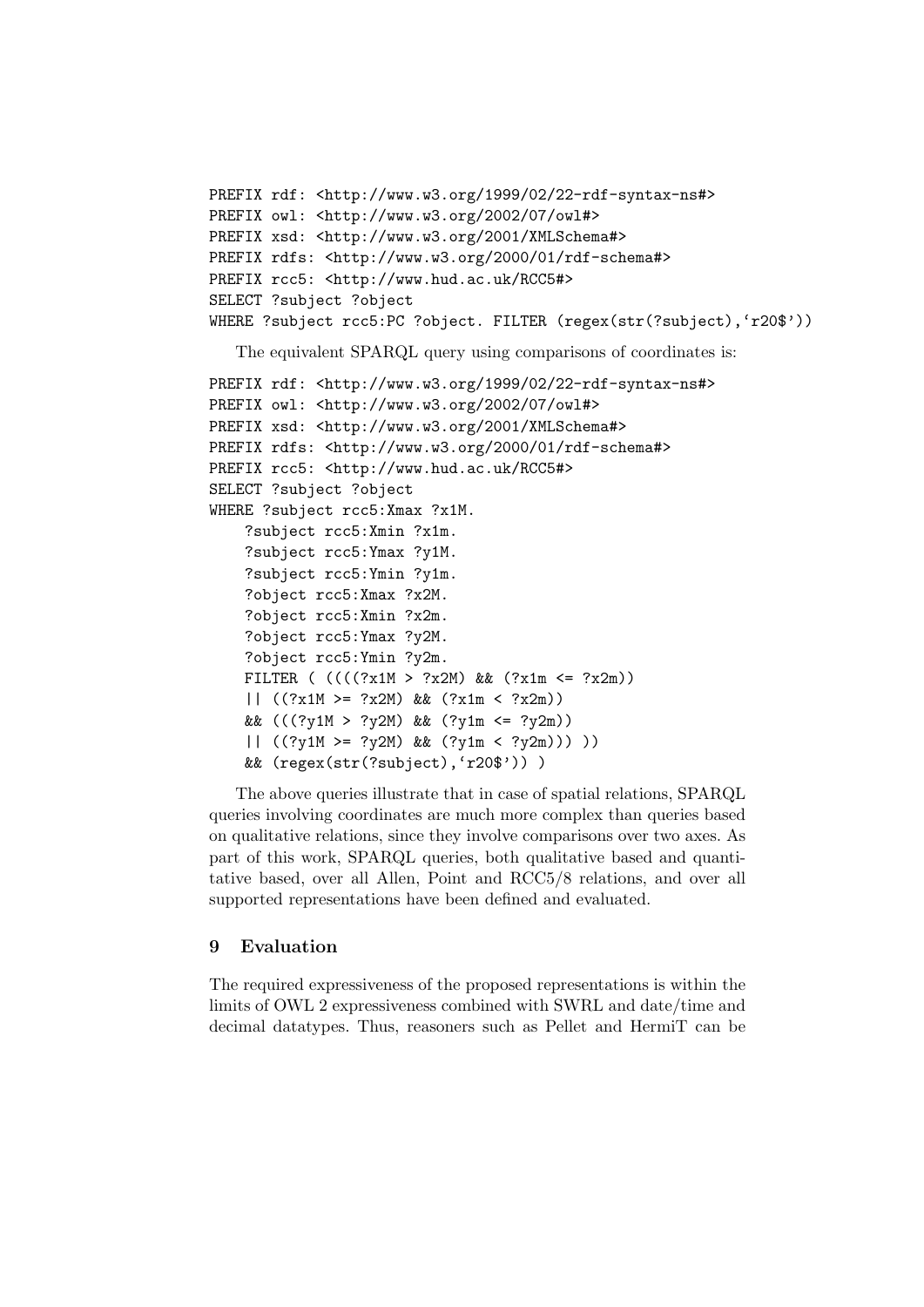```
PREFIX rdf: <http://www.w3.org/1999/02/22-rdf-syntax-ns#>
PREFIX owl: <http://www.w3.org/2002/07/owl#>
PREFIX xsd: <http://www.w3.org/2001/XMLSchema#>
PREFIX rdfs: <http://www.w3.org/2000/01/rdf-schema#>
PREFIX rcc5: <http://www.hud.ac.uk/RCC5#>
SELECT ?subject ?object
WHERE ?subject rcc5:PC ?object. FILTER (regex(str(?subject),'r20$'))
```
The equivalent SPARQL query using comparisons of coordinates is:

```
PREFIX rdf: <http://www.w3.org/1999/02/22-rdf-syntax-ns#>
PREFIX owl: <http://www.w3.org/2002/07/owl#>
PREFIX xsd: <http://www.w3.org/2001/XMLSchema#>
PREFIX rdfs: <http://www.w3.org/2000/01/rdf-schema#>
PREFIX rcc5: <http://www.hud.ac.uk/RCC5#>
SELECT ?subject ?object
WHERE ?subject rcc5:Xmax ?x1M.
    ?subject rcc5:Xmin ?x1m.
    ?subject rcc5:Ymax ?y1M.
    ?subject rcc5:Ymin ?y1m.
    ?object rcc5:Xmax ?x2M.
    ?object rcc5:Xmin ?x2m.
    ?object rcc5:Ymax ?y2M.
    ?object rcc5:Ymin ?y2m.
    FILTER ( (((?x1M > ?x2M) \& (?x1m \leq ?x2m))|| ((?x1M \ge ?x2M) && (?x1m \le ?x2m))&& (((?y1M > ?y2M) && (?y1m <= ?y2m))
    | ((?y1M \geq ?y2M) & (?y1m \leq ?y2m))) )
    && (regex(str(?subject),'r20$')) )
```
The above queries illustrate that in case of spatial relations, SPARQL queries involving coordinates are much more complex than queries based on qualitative relations, since they involve comparisons over two axes. As part of this work, SPARQL queries, both qualitative based and quantitative based, over all Allen, Point and RCC5/8 relations, and over all supported representations have been defined and evaluated.

# <span id="page-23-0"></span>9 Evaluation

The required expressiveness of the proposed representations is within the limits of OWL 2 expressiveness combined with SWRL and date/time and decimal datatypes. Thus, reasoners such as Pellet and HermiT can be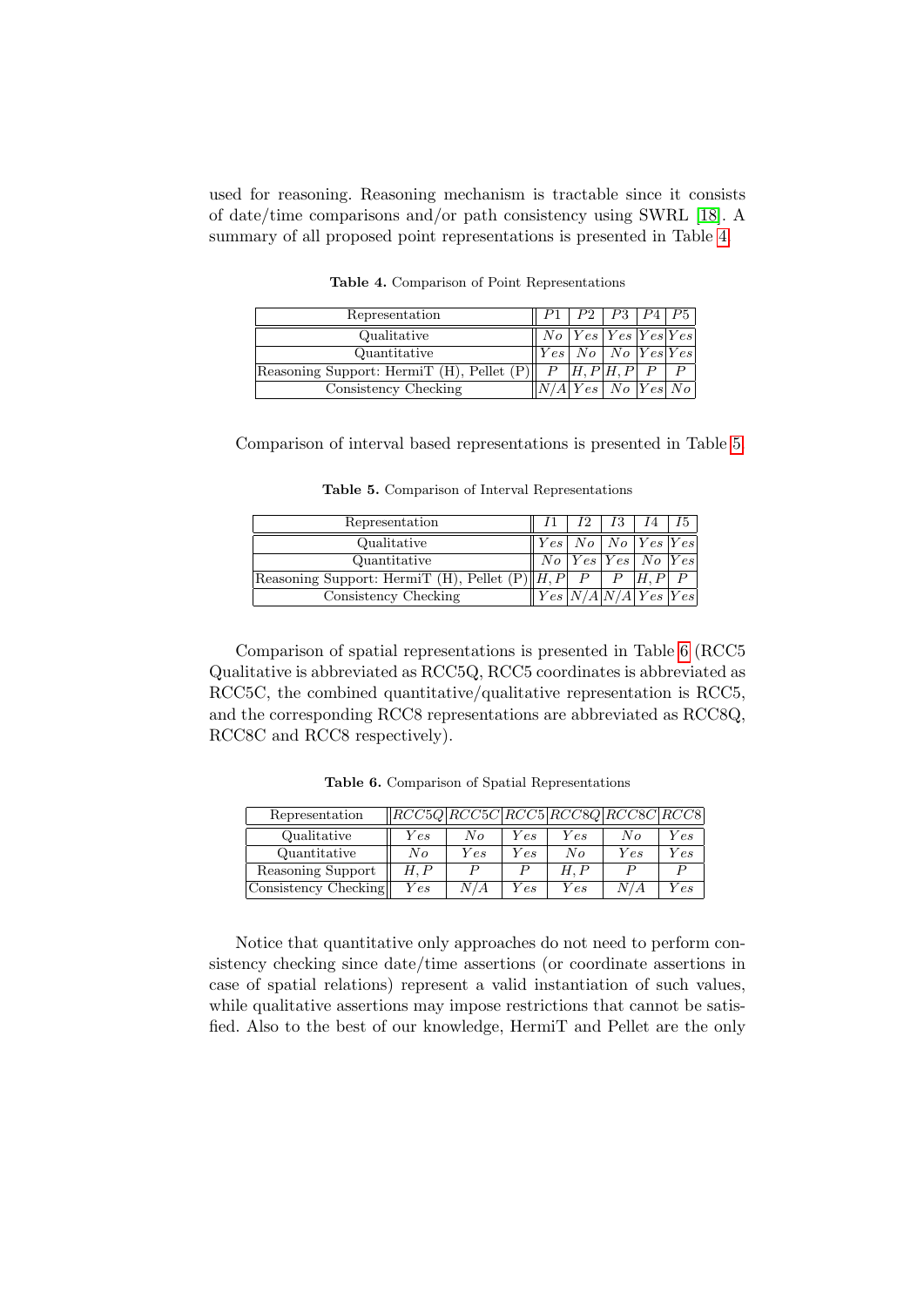used for reasoning. Reasoning mechanism is tractable since it consists of date/time comparisons and/or path consistency using SWRL [\[18\]](#page-33-10). A summary of all proposed point representations is presented in Table [4.](#page-24-0)

| Representation                            |                           |                                                           | P2   P3   P4   P5 |   |  |
|-------------------------------------------|---------------------------|-----------------------------------------------------------|-------------------|---|--|
| Qualitative                               |                           | $No \,   \, Yes \,   \, Yes \,   \, Yes \,   \, Yes \,  $ |                   |   |  |
| Quantitative                              | $ Yes $ No   No   Yes Yes |                                                           |                   |   |  |
| Reasoning Support: HermiT (H), Pellet (P) |                           | H, P H, P                                                 |                   | P |  |
| Consistency Checking                      | N/A  Yes  No  Yes  No     |                                                           |                   |   |  |

<span id="page-24-0"></span>Table 4. Comparison of Point Representations

Comparison of interval based representations is presented in Table [5.](#page-24-1)

| Representation                                    |     |                            | 13 - | 14                                      |  |
|---------------------------------------------------|-----|----------------------------|------|-----------------------------------------|--|
| Qualitative                                       |     |                            |      | $Yes \mid No \mid No \mid Yes \mid Yes$ |  |
| Quantitative                                      |     |                            |      | $ Yes Yes $ No $ Yes $                  |  |
| Reasoning Support: HermiT (H), Pellet $(P)  H, P$ |     | $\boldsymbol{\mathcal{D}}$ |      |                                         |  |
| Consistency Checking                              | Yes |                            |      | $N/A N/A $ Yes $ Yes $                  |  |

<span id="page-24-1"></span>Table 5. Comparison of Interval Representations

Comparison of spatial representations is presented in Table [6](#page-24-2) (RCC5 Qualitative is abbreviated as RCC5Q, RCC5 coordinates is abbreviated as RCC5C, the combined quantitative/qualitative representation is RCC5, and the corresponding RCC8 representations are abbreviated as RCC8Q, RCC8C and RCC8 respectively).

| Representation       | $\left\  RCC5Q RCC5C  RCC5  RCC8Q  RCC8C  RCC8 \right\ $ |     |       |               |       |       |
|----------------------|----------------------------------------------------------|-----|-------|---------------|-------|-------|
| Qualitative          | Yes                                                      | Nο  | Y es  | Yes           | No    | Y e.s |
| Quantitative         | No                                                       | Yes | Yes   | No            | Yes   | Y e.s |
| Reasoning Support    | H. P                                                     |     |       | $H_{\cdot} P$ |       |       |
| Consistency Checking | Yes                                                      | N/A | Y e s | Yes           | N / A | Y e.s |

<span id="page-24-2"></span>Table 6. Comparison of Spatial Representations

Notice that quantitative only approaches do not need to perform consistency checking since date/time assertions (or coordinate assertions in case of spatial relations) represent a valid instantiation of such values, while qualitative assertions may impose restrictions that cannot be satisfied. Also to the best of our knowledge, HermiT and Pellet are the only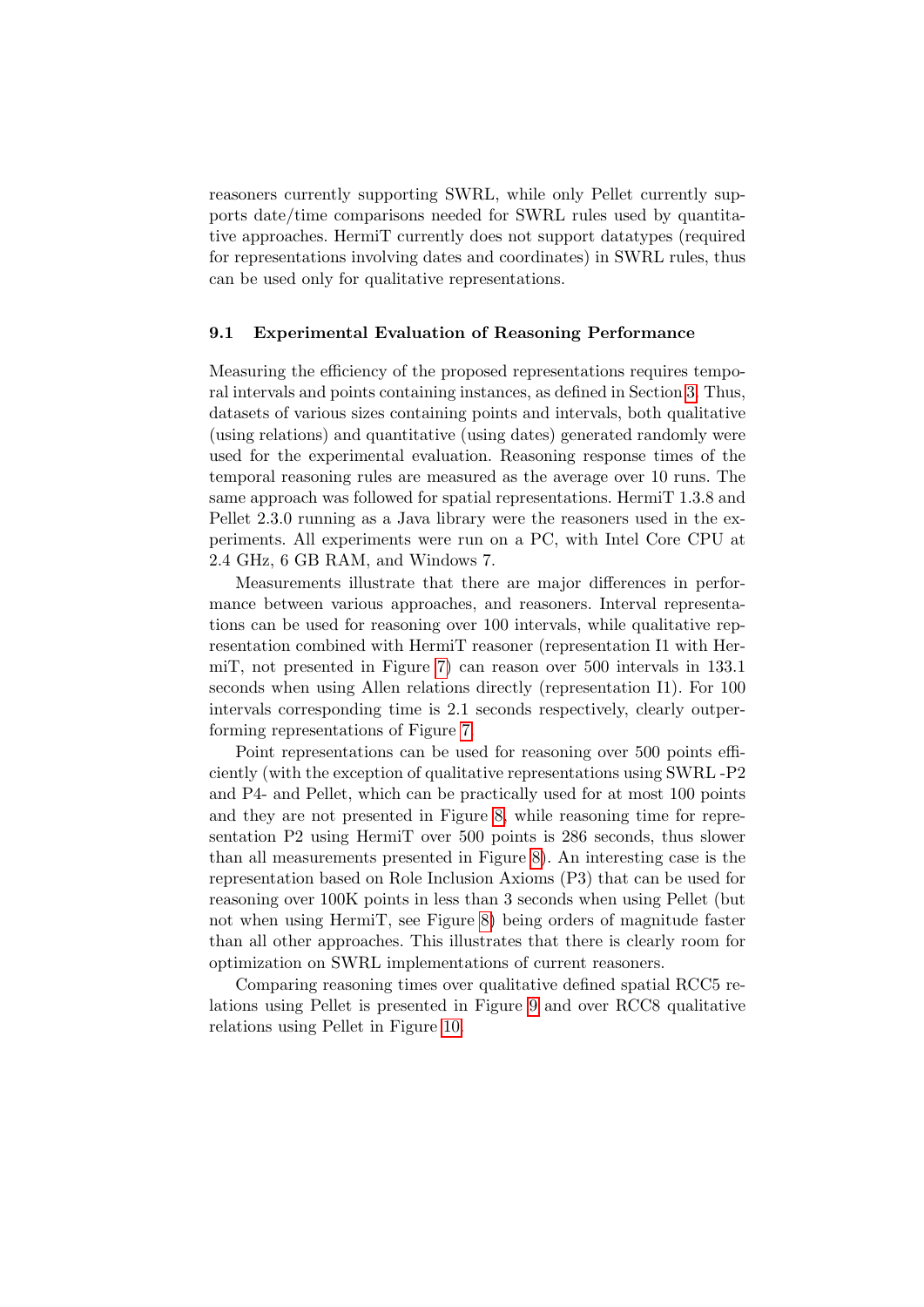reasoners currently supporting SWRL, while only Pellet currently supports date/time comparisons needed for SWRL rules used by quantitative approaches. HermiT currently does not support datatypes (required for representations involving dates and coordinates) in SWRL rules, thus can be used only for qualitative representations.

### <span id="page-25-0"></span>9.1 Experimental Evaluation of Reasoning Performance

Measuring the efficiency of the proposed representations requires temporal intervals and points containing instances, as defined in Section [3.](#page-5-0) Thus, datasets of various sizes containing points and intervals, both qualitative (using relations) and quantitative (using dates) generated randomly were used for the experimental evaluation. Reasoning response times of the temporal reasoning rules are measured as the average over 10 runs. The same approach was followed for spatial representations. HermiT 1.3.8 and Pellet 2.3.0 running as a Java library were the reasoners used in the experiments. All experiments were run on a PC, with Intel Core CPU at 2.4 GHz, 6 GB RAM, and Windows 7.

Measurements illustrate that there are major differences in performance between various approaches, and reasoners. Interval representations can be used for reasoning over 100 intervals, while qualitative representation combined with HermiT reasoner (representation I1 with HermiT, not presented in Figure [7\)](#page-26-0) can reason over 500 intervals in 133.1 seconds when using Allen relations directly (representation I1). For 100 intervals corresponding time is 2.1 seconds respectively, clearly outperforming representations of Figure [7.](#page-26-0)

Point representations can be used for reasoning over 500 points efficiently (with the exception of qualitative representations using SWRL -P2 and P4- and Pellet, which can be practically used for at most 100 points and they are not presented in Figure [8,](#page-26-1) while reasoning time for representation P2 using HermiT over 500 points is 286 seconds, thus slower than all measurements presented in Figure [8\)](#page-26-1). An interesting case is the representation based on Role Inclusion Axioms (P3) that can be used for reasoning over 100K points in less than 3 seconds when using Pellet (but not when using HermiT, see Figure [8\)](#page-26-1) being orders of magnitude faster than all other approaches. This illustrates that there is clearly room for optimization on SWRL implementations of current reasoners.

Comparing reasoning times over qualitative defined spatial RCC5 relations using Pellet is presented in Figure [9](#page-27-0) and over RCC8 qualitative relations using Pellet in Figure [10.](#page-27-1)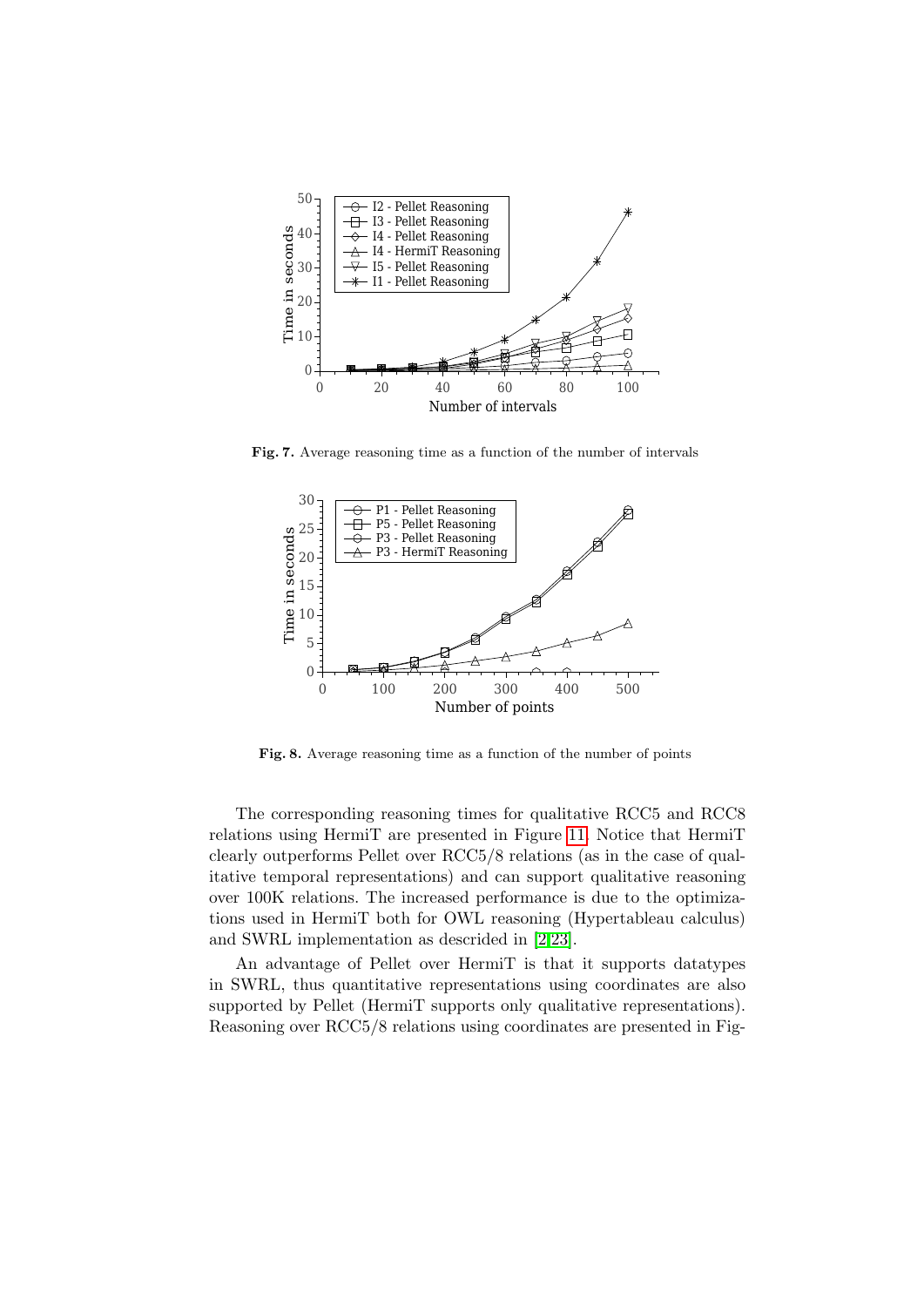

<span id="page-26-0"></span>Fig. 7. Average reasoning time as a function of the number of intervals



<span id="page-26-1"></span>Fig. 8. Average reasoning time as a function of the number of points

The corresponding reasoning times for qualitative RCC5 and RCC8 relations using HermiT are presented in Figure [11.](#page-28-0) Notice that HermiT clearly outperforms Pellet over RCC5/8 relations (as in the case of qualitative temporal representations) and can support qualitative reasoning over 100K relations. The increased performance is due to the optimizations used in HermiT both for OWL reasoning (Hypertableau calculus) and SWRL implementation as descrided in [\[2](#page-32-1)[,23\]](#page-33-15).

An advantage of Pellet over HermiT is that it supports datatypes in SWRL, thus quantitative representations using coordinates are also supported by Pellet (HermiT supports only qualitative representations). Reasoning over RCC5/8 relations using coordinates are presented in Fig-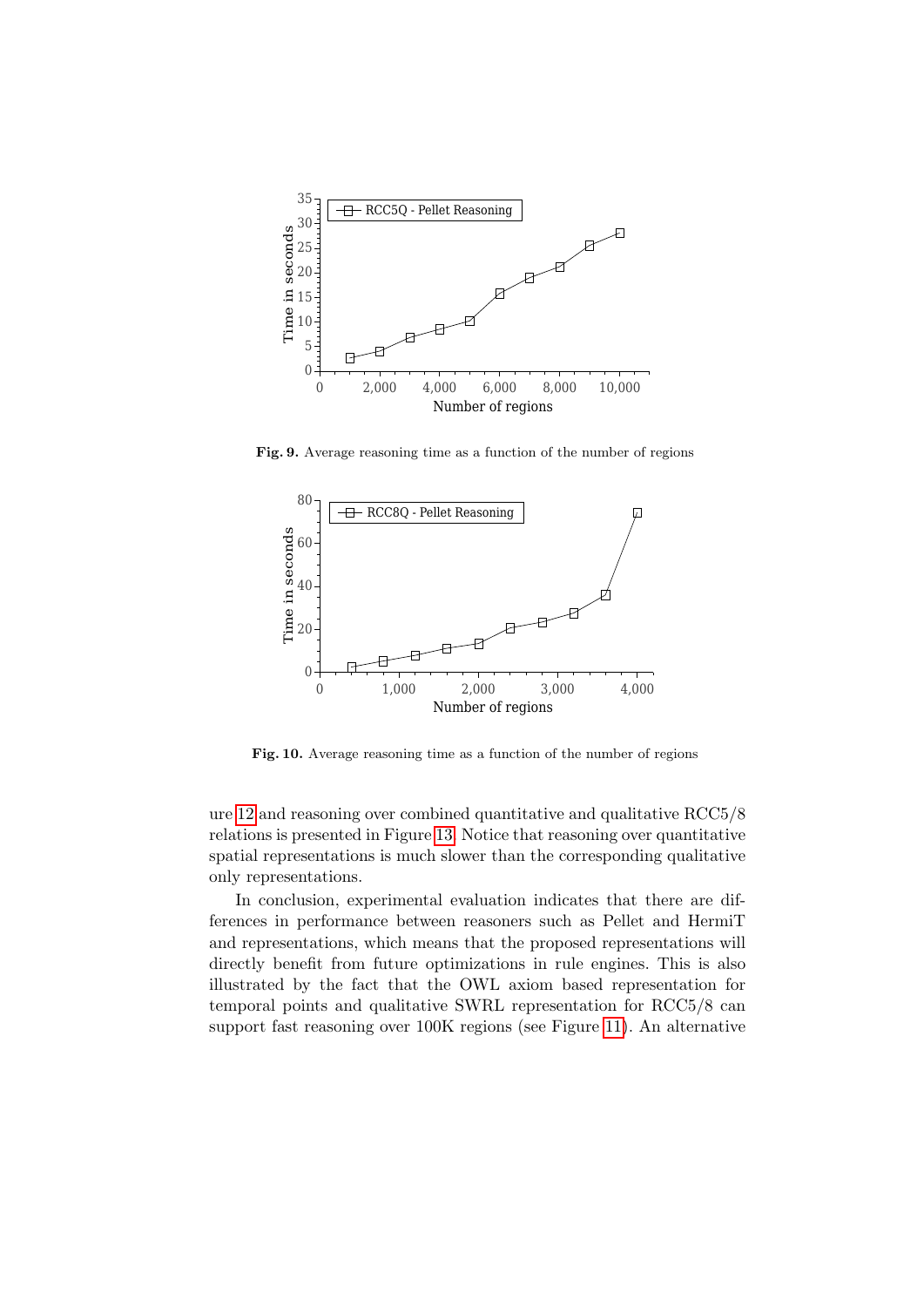

<span id="page-27-0"></span>Fig. 9. Average reasoning time as a function of the number of regions



<span id="page-27-1"></span>Fig. 10. Average reasoning time as a function of the number of regions

ure [12](#page-28-1) and reasoning over combined quantitative and qualitative RCC5/8 relations is presented in Figure [13.](#page-29-0) Notice that reasoning over quantitative spatial representations is much slower than the corresponding qualitative only representations.

In conclusion, experimental evaluation indicates that there are differences in performance between reasoners such as Pellet and HermiT and representations, which means that the proposed representations will directly benefit from future optimizations in rule engines. This is also illustrated by the fact that the OWL axiom based representation for temporal points and qualitative SWRL representation for RCC5/8 can support fast reasoning over 100K regions (see Figure [11\)](#page-28-0). An alternative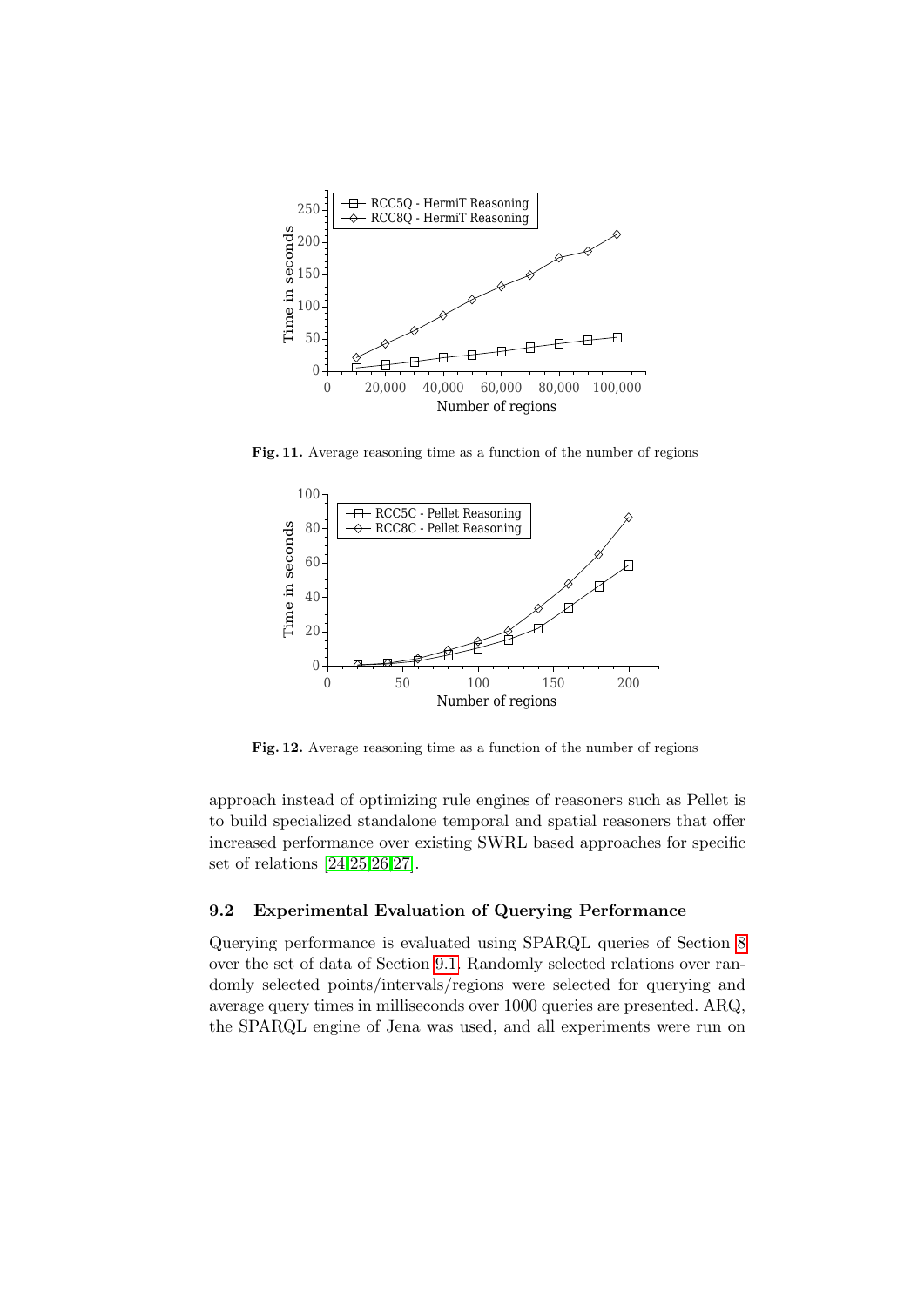

Fig. 11. Average reasoning time as a function of the number of regions

<span id="page-28-0"></span>

<span id="page-28-1"></span>Fig. 12. Average reasoning time as a function of the number of regions

approach instead of optimizing rule engines of reasoners such as Pellet is to build specialized standalone temporal and spatial reasoners that offer increased performance over existing SWRL based approaches for specific set of relations [\[24,](#page-33-16)[25](#page-33-17)[,26](#page-34-0)[,27\]](#page-34-1).

## 9.2 Experimental Evaluation of Querying Performance

Querying performance is evaluated using SPARQL queries of Section [8](#page-21-0) over the set of data of Section [9.1.](#page-25-0) Randomly selected relations over randomly selected points/intervals/regions were selected for querying and average query times in milliseconds over 1000 queries are presented. ARQ, the SPARQL engine of Jena was used, and all experiments were run on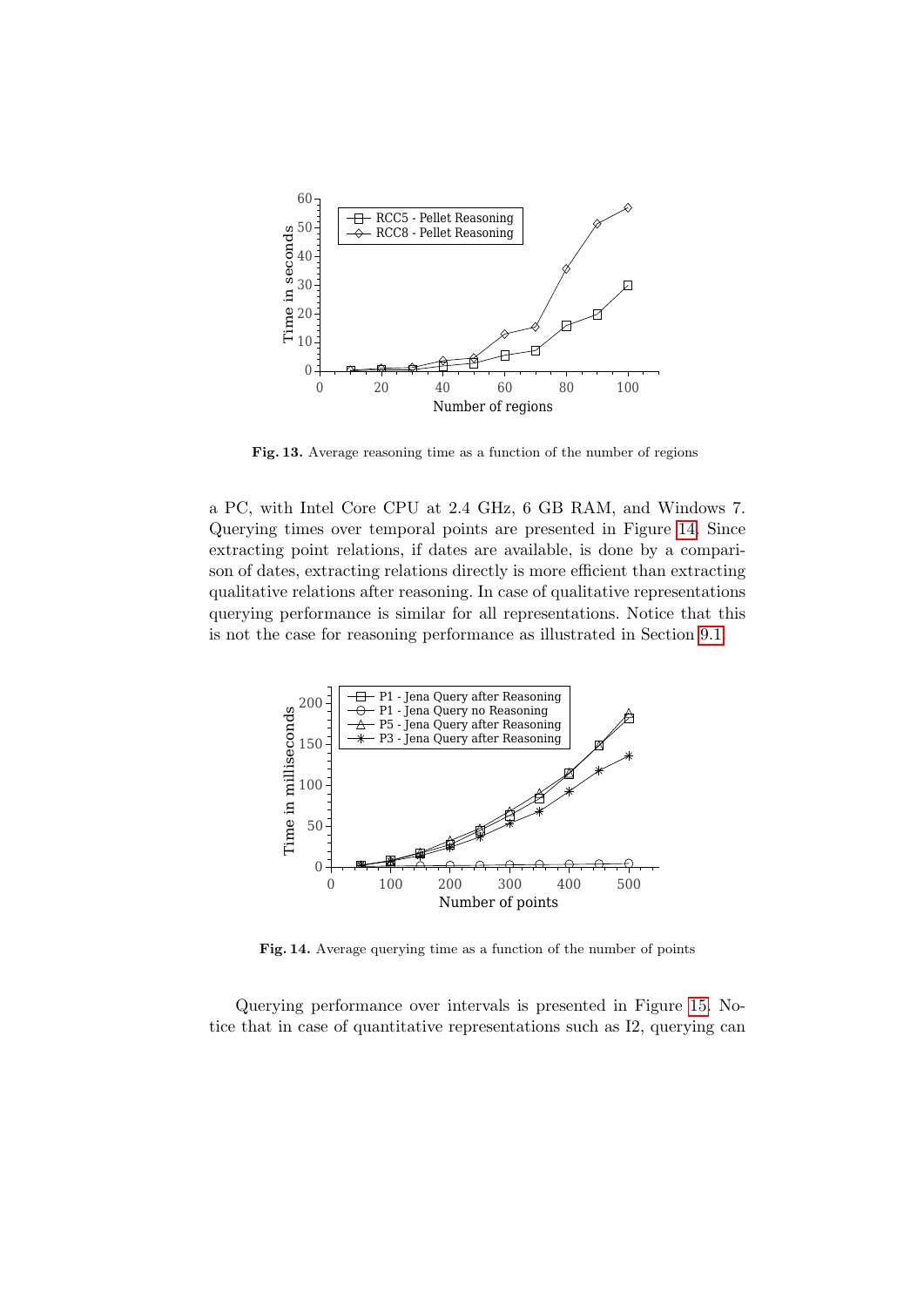

<span id="page-29-0"></span>Fig. 13. Average reasoning time as a function of the number of regions

a PC, with Intel Core CPU at 2.4 GHz, 6 GB RAM, and Windows 7. Querying times over temporal points are presented in Figure [14.](#page-29-1) Since extracting point relations, if dates are available, is done by a comparison of dates, extracting relations directly is more efficient than extracting qualitative relations after reasoning. In case of qualitative representations querying performance is similar for all representations. Notice that this is not the case for reasoning performance as illustrated in Section [9.1.](#page-25-0)



<span id="page-29-1"></span>Fig. 14. Average querying time as a function of the number of points

Querying performance over intervals is presented in Figure [15.](#page-30-0) Notice that in case of quantitative representations such as I2, querying can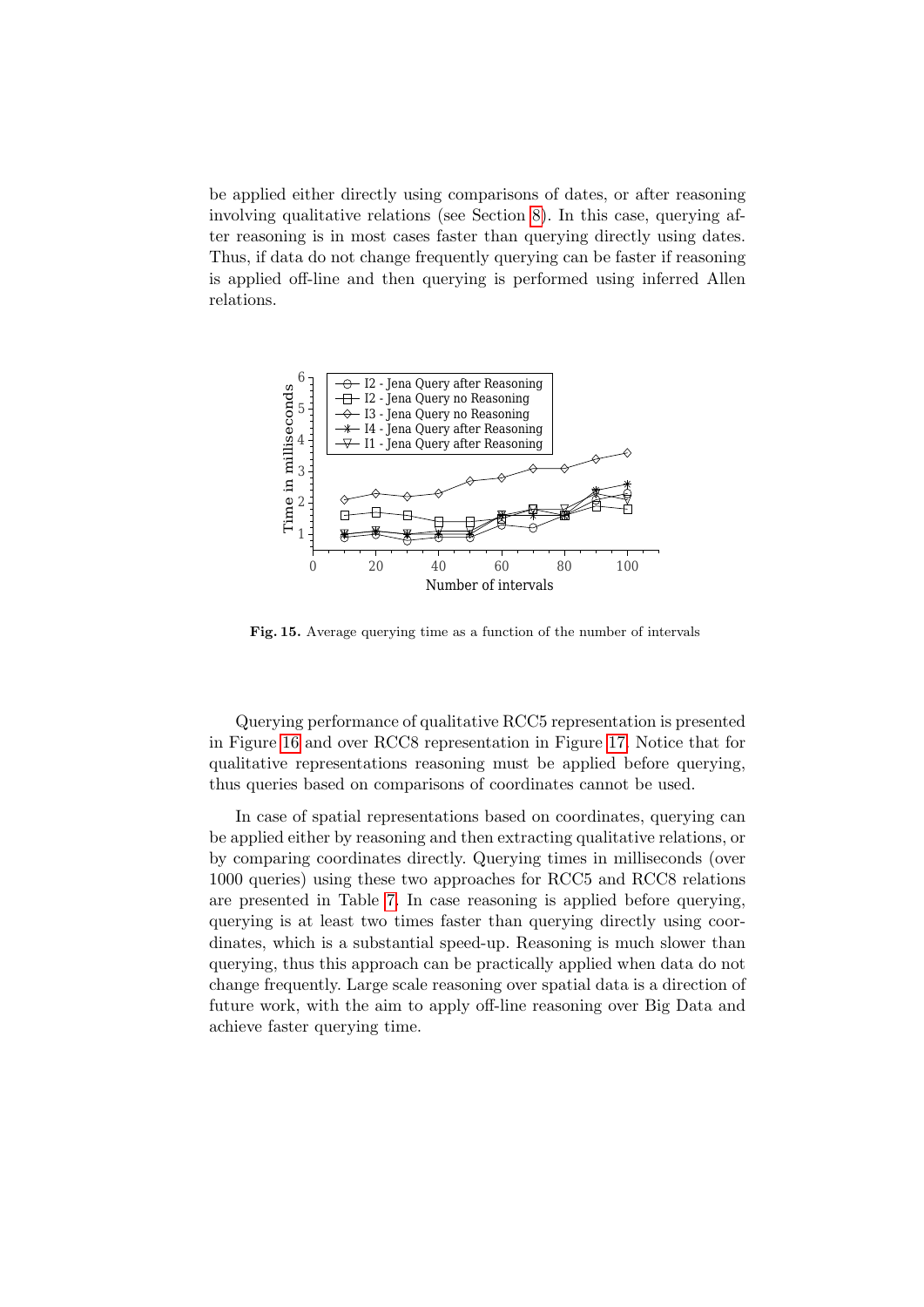be applied either directly using comparisons of dates, or after reasoning involving qualitative relations (see Section [8\)](#page-21-0). In this case, querying after reasoning is in most cases faster than querying directly using dates. Thus, if data do not change frequently querying can be faster if reasoning is applied off-line and then querying is performed using inferred Allen relations.



<span id="page-30-0"></span>Fig. 15. Average querying time as a function of the number of intervals

Querying performance of qualitative RCC5 representation is presented in Figure [16](#page-31-1) and over RCC8 representation in Figure [17.](#page-31-2) Notice that for qualitative representations reasoning must be applied before querying, thus queries based on comparisons of coordinates cannot be used.

In case of spatial representations based on coordinates, querying can be applied either by reasoning and then extracting qualitative relations, or by comparing coordinates directly. Querying times in milliseconds (over 1000 queries) using these two approaches for RCC5 and RCC8 relations are presented in Table [7.](#page-32-7) In case reasoning is applied before querying, querying is at least two times faster than querying directly using coordinates, which is a substantial speed-up. Reasoning is much slower than querying, thus this approach can be practically applied when data do not change frequently. Large scale reasoning over spatial data is a direction of future work, with the aim to apply off-line reasoning over Big Data and achieve faster querying time.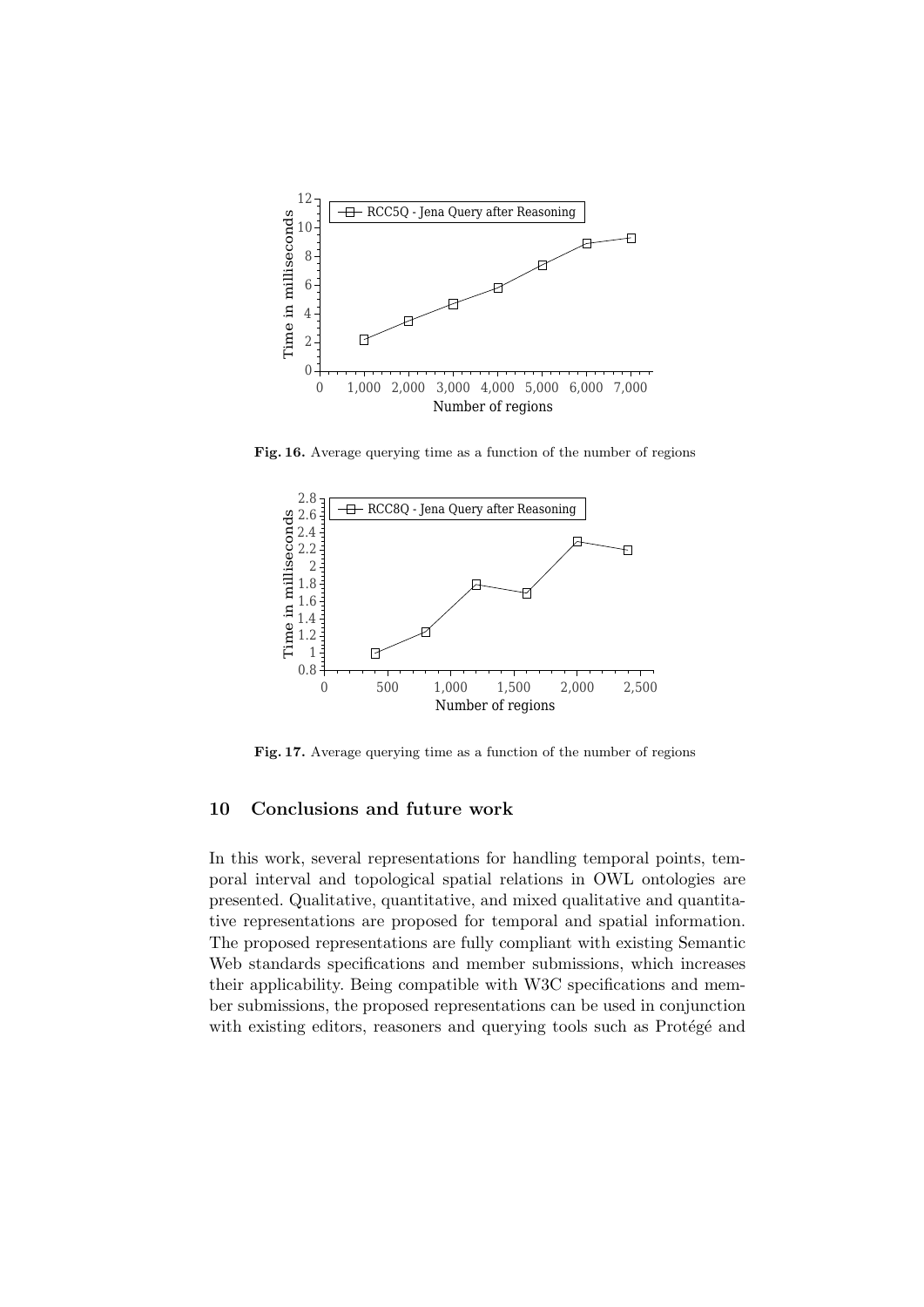

<span id="page-31-1"></span>Fig. 16. Average querying time as a function of the number of regions



<span id="page-31-2"></span>Fig. 17. Average querying time as a function of the number of regions

## <span id="page-31-0"></span>10 Conclusions and future work

In this work, several representations for handling temporal points, temporal interval and topological spatial relations in OWL ontologies are presented. Qualitative, quantitative, and mixed qualitative and quantitative representations are proposed for temporal and spatial information. The proposed representations are fully compliant with existing Semantic Web standards specifications and member submissions, which increases their applicability. Being compatible with W3C specifications and member submissions, the proposed representations can be used in conjunction with existing editors, reasoners and querying tools such as Protégé and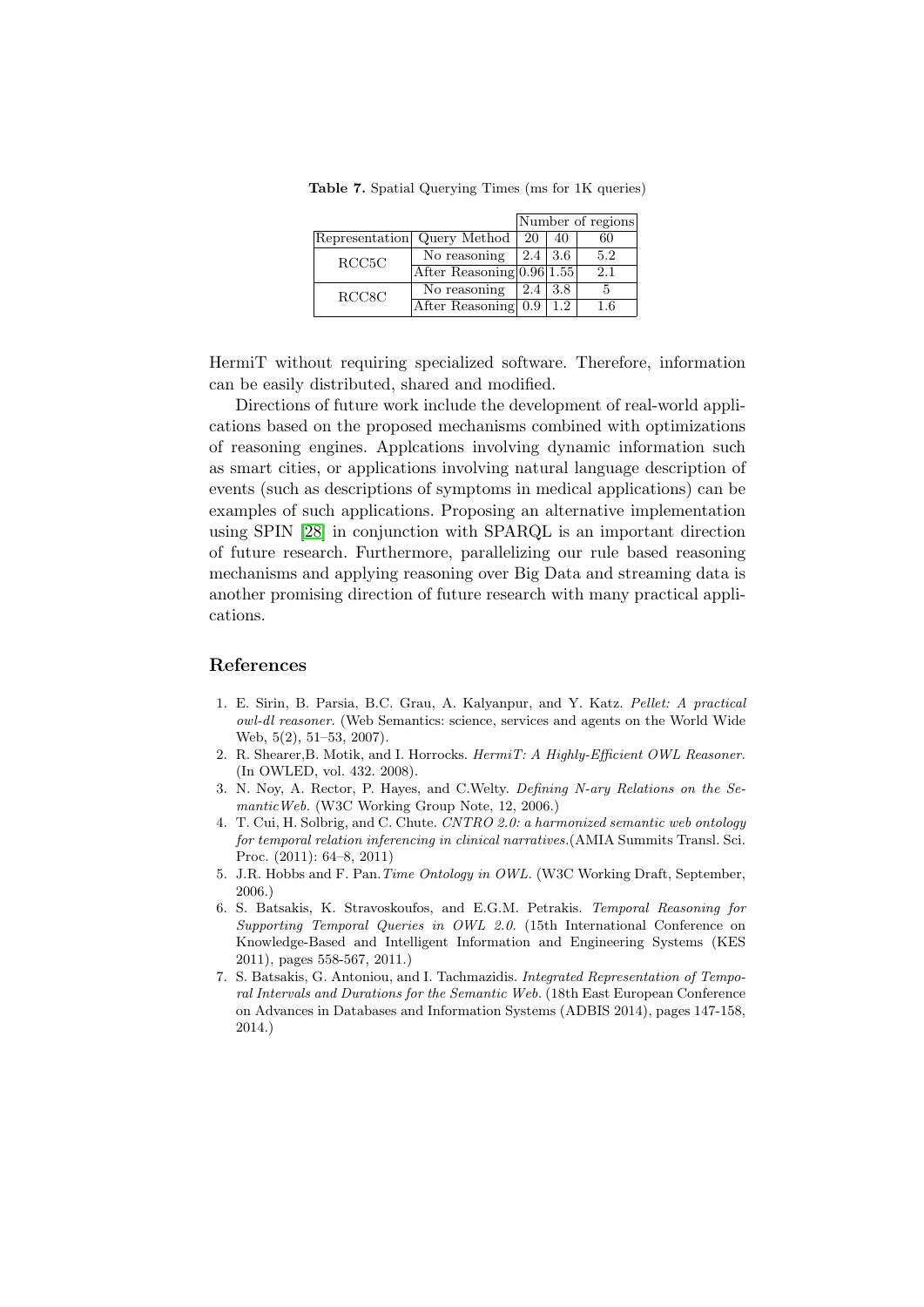Number of regions Representation Query Method | 20 | 40 | 60 RCC5C  $\begin{array}{|l|c|c|c|c|}\n\hline\n\text{No reasoning} & 2.4 & 3.6 & 5.2 \\
\hline\n\text{After Reasoning} & 0.96 & 1.55 & 2.1\n\end{array}$ After Reasoning  $0.96$  1.55 RCC8C  $\begin{array}{|l|c|c|c|c|}\n\hline \text{No reasoning} & 2.4 & 3.8 & 5 \\
\hline \text{After Reasoning} & 0.9 & 1.2 & 1.6 \\
\hline \end{array}$ 

<span id="page-32-7"></span>Table 7. Spatial Querying Times (ms for 1K queries)

HermiT without requiring specialized software. Therefore, information can be easily distributed, shared and modified.

Directions of future work include the development of real-world applications based on the proposed mechanisms combined with optimizations of reasoning engines. Applcations involving dynamic information such as smart cities, or applications involving natural language description of events (such as descriptions of symptoms in medical applications) can be examples of such applications. Proposing an alternative implementation using SPIN [\[28\]](#page-34-2) in conjunction with SPARQL is an important direction of future research. Furthermore, parallelizing our rule based reasoning mechanisms and applying reasoning over Big Data and streaming data is another promising direction of future research with many practical applications.

### References

- <span id="page-32-0"></span>1. E. Sirin, B. Parsia, B.C. Grau, A. Kalyanpur, and Y. Katz. Pellet: A practical owl-dl reasoner. (Web Semantics: science, services and agents on the World Wide Web, 5(2), 51–53, 2007).
- <span id="page-32-1"></span>2. R. Shearer,B. Motik, and I. Horrocks. HermiT: A Highly-Efficient OWL Reasoner. (In OWLED, vol. 432. 2008).
- <span id="page-32-2"></span>3. N. Noy, A. Rector, P. Hayes, and C.Welty. Defining N-ary Relations on the SemanticWeb. (W3C Working Group Note, 12, 2006.)
- <span id="page-32-3"></span>4. T. Cui, H. Solbrig, and C. Chute. CNTRO 2.0: a harmonized semantic web ontology for temporal relation inferencing in clinical narratives.(AMIA Summits Transl. Sci. Proc. (2011): 64–8, 2011)
- <span id="page-32-4"></span>5. J.R. Hobbs and F. Pan.Time Ontology in OWL. (W3C Working Draft, September, 2006.)
- <span id="page-32-5"></span>6. S. Batsakis, K. Stravoskoufos, and E.G.M. Petrakis. Temporal Reasoning for Supporting Temporal Queries in OWL 2.0. (15th International Conference on Knowledge-Based and Intelligent Information and Engineering Systems (KES 2011), pages 558-567, 2011.)
- <span id="page-32-6"></span>7. S. Batsakis, G. Antoniou, and I. Tachmazidis. Integrated Representation of Temporal Intervals and Durations for the Semantic Web. (18th East European Conference on Advances in Databases and Information Systems (ADBIS 2014), pages 147-158, 2014.)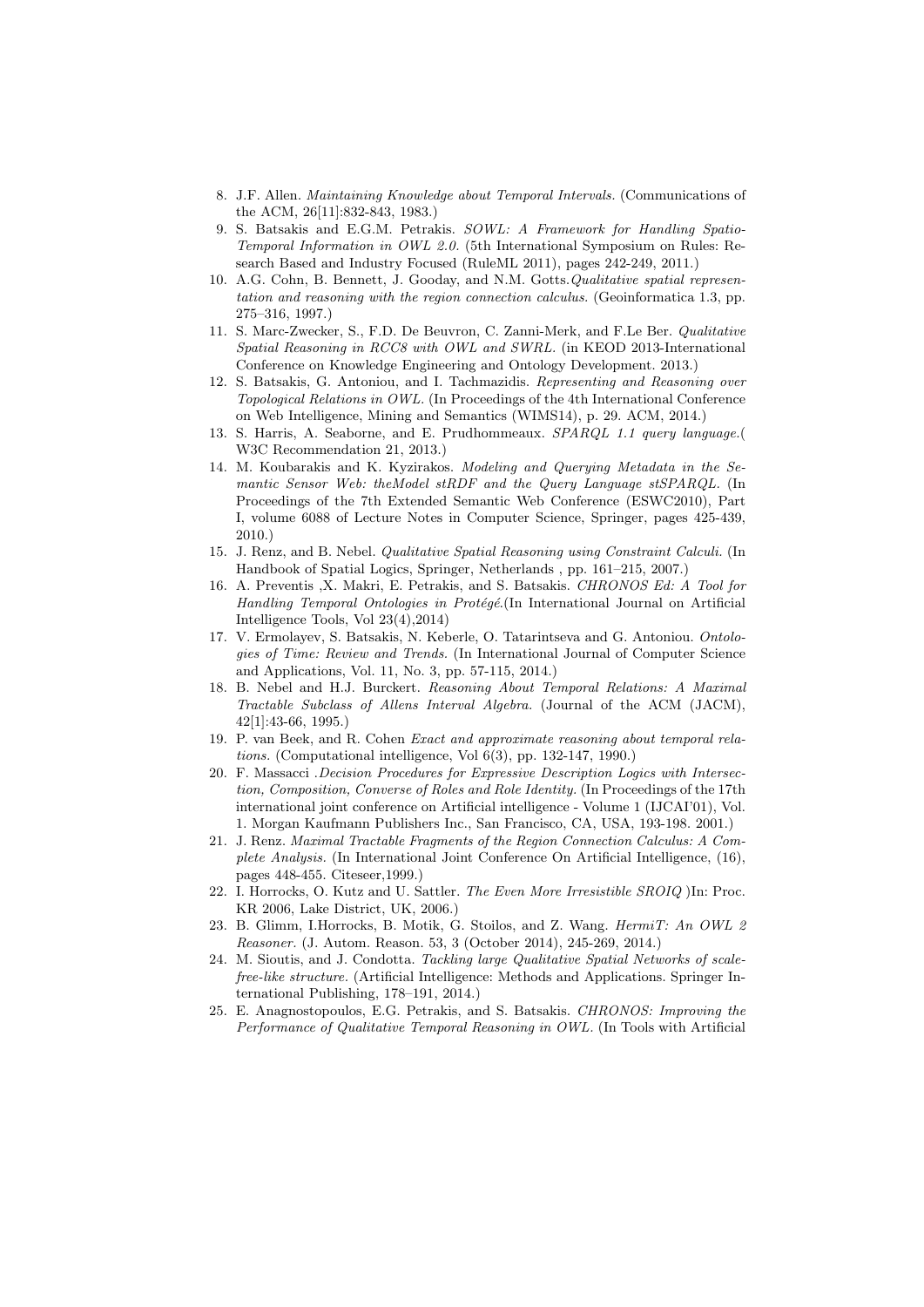- <span id="page-33-0"></span>8. J.F. Allen. Maintaining Knowledge about Temporal Intervals. (Communications of the ACM, 26[11]:832-843, 1983.)
- <span id="page-33-1"></span>9. S. Batsakis and E.G.M. Petrakis. SOWL: A Framework for Handling Spatio-Temporal Information in OWL 2.0. (5th International Symposium on Rules: Research Based and Industry Focused (RuleML 2011), pages 242-249, 2011.)
- <span id="page-33-2"></span>10. A.G. Cohn, B. Bennett, J. Gooday, and N.M. Gotts.Qualitative spatial representation and reasoning with the region connection calculus. (Geoinformatica 1.3, pp. 275–316, 1997.)
- <span id="page-33-3"></span>11. S. Marc-Zwecker, S., F.D. De Beuvron, C. Zanni-Merk, and F.Le Ber. Qualitative Spatial Reasoning in RCC8 with OWL and SWRL. (in KEOD 2013-International Conference on Knowledge Engineering and Ontology Development. 2013.)
- <span id="page-33-4"></span>12. S. Batsakis, G. Antoniou, and I. Tachmazidis. Representing and Reasoning over Topological Relations in OWL. (In Proceedings of the 4th International Conference on Web Intelligence, Mining and Semantics (WIMS14), p. 29. ACM, 2014.)
- <span id="page-33-5"></span>13. S. Harris, A. Seaborne, and E. Prudhommeaux. SPARQL 1.1 query language.( W3C Recommendation 21, 2013.)
- <span id="page-33-6"></span>14. M. Koubarakis and K. Kyzirakos. Modeling and Querying Metadata in the Semantic Sensor Web: theModel stRDF and the Query Language stSPARQL. (In Proceedings of the 7th Extended Semantic Web Conference (ESWC2010), Part I, volume 6088 of Lecture Notes in Computer Science, Springer, pages 425-439, 2010.)
- <span id="page-33-7"></span>15. J. Renz, and B. Nebel. Qualitative Spatial Reasoning using Constraint Calculi. (In Handbook of Spatial Logics, Springer, Netherlands , pp. 161–215, 2007.)
- <span id="page-33-8"></span>16. A. Preventis ,X. Makri, E. Petrakis, and S. Batsakis. CHRONOS Ed: A Tool for Handling Temporal Ontologies in Protégé.(In International Journal on Artificial Intelligence Tools, Vol 23(4),2014)
- <span id="page-33-9"></span>17. V. Ermolayev, S. Batsakis, N. Keberle, O. Tatarintseva and G. Antoniou. Ontologies of Time: Review and Trends. (In International Journal of Computer Science and Applications, Vol. 11, No. 3, pp. 57-115, 2014.)
- <span id="page-33-10"></span>18. B. Nebel and H.J. Burckert. Reasoning About Temporal Relations: A Maximal Tractable Subclass of Allens Interval Algebra. (Journal of the ACM (JACM), 42[1]:43-66, 1995.)
- <span id="page-33-11"></span>19. P. van Beek, and R. Cohen Exact and approximate reasoning about temporal relations. (Computational intelligence, Vol 6(3), pp. 132-147, 1990.)
- <span id="page-33-12"></span>20. F. Massacci .Decision Procedures for Expressive Description Logics with Intersection, Composition, Converse of Roles and Role Identity. (In Proceedings of the 17th international joint conference on Artificial intelligence - Volume 1 (IJCAI'01), Vol. 1. Morgan Kaufmann Publishers Inc., San Francisco, CA, USA, 193-198. 2001.)
- <span id="page-33-13"></span>21. J. Renz. Maximal Tractable Fragments of the Region Connection Calculus: A Complete Analysis. (In International Joint Conference On Artificial Intelligence, (16), pages 448-455. Citeseer,1999.)
- <span id="page-33-14"></span>22. I. Horrocks, O. Kutz and U. Sattler. The Even More Irresistible SROIQ )In: Proc. KR 2006, Lake District, UK, 2006.)
- <span id="page-33-15"></span>23. B. Glimm, I.Horrocks, B. Motik, G. Stoilos, and Z. Wang. HermiT: An OWL 2 Reasoner. (J. Autom. Reason. 53, 3 (October 2014), 245-269, 2014.)
- <span id="page-33-16"></span>24. M. Sioutis, and J. Condotta. Tackling large Qualitative Spatial Networks of scalefree-like structure. (Artificial Intelligence: Methods and Applications. Springer International Publishing, 178–191, 2014.)
- <span id="page-33-17"></span>25. E. Anagnostopoulos, E.G. Petrakis, and S. Batsakis. CHRONOS: Improving the Performance of Qualitative Temporal Reasoning in OWL. (In Tools with Artificial